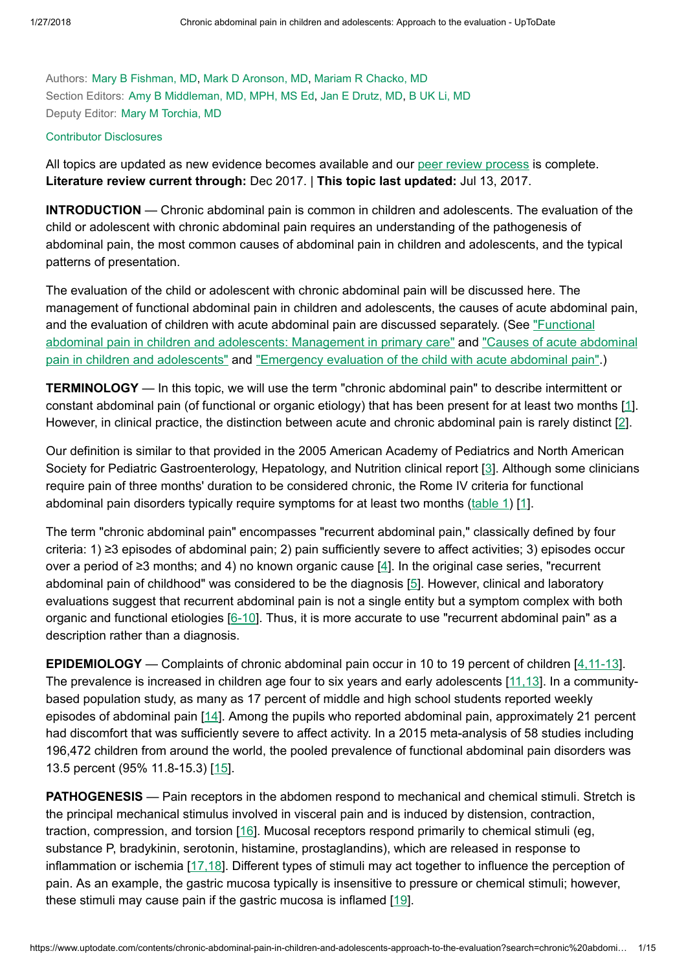Authors: Mary B [Fishman,](https://www.uptodate.com/contents/chronic-abdominal-pain-in-children-and-adolescents-approach-to-the-evaluation/contributors) MD, Mark D [Aronson,](https://www.uptodate.com/contents/chronic-abdominal-pain-in-children-and-adolescents-approach-to-the-evaluation/contributors) MD, Mariam R [Chacko,](https://www.uptodate.com/contents/chronic-abdominal-pain-in-children-and-adolescents-approach-to-the-evaluation/contributors) MD Section Editors: Amy B [Middleman,](https://www.uptodate.com/contents/chronic-abdominal-pain-in-children-and-adolescents-approach-to-the-evaluation/contributors) MD, MPH, MS Ed, Jan E [Drutz,](https://www.uptodate.com/contents/chronic-abdominal-pain-in-children-and-adolescents-approach-to-the-evaluation/contributors) MD, B UK Li, [MD](https://www.uptodate.com/contents/chronic-abdominal-pain-in-children-and-adolescents-approach-to-the-evaluation/contributors) Deputy Editor: Mary M [Torchia,](https://www.uptodate.com/contents/chronic-abdominal-pain-in-children-and-adolescents-approach-to-the-evaluation/contributors) MD

#### Contributor [Disclosures](https://www.uptodate.com/contents/chronic-abdominal-pain-in-children-and-adolescents-approach-to-the-evaluation/contributor-disclosure)

All topics are updated as new evidence becomes available and our peer review [process](https://www.uptodate.com/home/editorial-policy) is complete. Literature review current through: Dec 2017. | This topic last updated: Jul 13, 2017.

INTRODUCTION — Chronic abdominal pain is common in children and adolescents. The evaluation of the child or adolescent with chronic abdominal pain requires an understanding of the pathogenesis of abdominal pain, the most common causes of abdominal pain in children and adolescents, and the typical patterns of presentation.

The evaluation of the child or adolescent with chronic abdominal pain will be discussed here. The management of functional abdominal pain in children and adolescents, the causes of acute abdominal pain, and the evaluation of children with acute [abdominal pain](https://www.uptodate.com/contents/functional-abdominal-pain-in-children-and-adolescents-management-in-primary-care?source=see_link) are discussed separately. (See "Functional abdominal pain in children and adolescents: Management in primary care" and "Causes of acute abdominal pain in children and adolescents" and "Emergency evaluation of the child with acute [abdominal pain".\)](https://www.uptodate.com/contents/causes-of-acute-abdominal-pain-in-children-and-adolescents?source=see_link)

TERMINOLOGY — In this topic, we will use the term "chronic abdominal pain" to describe intermittent or constant abdominal pain (of functional or organic etiology) that has been present for at least two months [[1\]](https://www.uptodate.com/contents/chronic-abdominal-pain-in-children-and-adolescents-approach-to-the-evaluation/abstract/1). However, in clinical practice, the distinction between acute and chronic abdominal pain is rarely distinct [\[2](https://www.uptodate.com/contents/chronic-abdominal-pain-in-children-and-adolescents-approach-to-the-evaluation/abstract/2)].

Our definition is similar to that provided in the 2005 American Academy of Pediatrics and North American Society for Pediatric Gastroenterology, Hepatology, and Nutrition clinical report [[3\]](https://www.uptodate.com/contents/chronic-abdominal-pain-in-children-and-adolescents-approach-to-the-evaluation/abstract/3). Although some clinicians require pain of three months' duration to be considered chronic, the Rome IV criteria for functional abdominal pain disorders typically require symptoms for at least two months [\(table](https://www.uptodate.com/contents/image?imageKey=PEDS%2F71435&topicKey=PEDS%2F111&search=chronic+abdominal+pain+in+children&rank=1%7E150&source=see_link) 1) [\[1](https://www.uptodate.com/contents/chronic-abdominal-pain-in-children-and-adolescents-approach-to-the-evaluation/abstract/1)].

The term "chronic abdominal pain" encompasses "recurrent abdominal pain," classically defined by four criteria: 1) ≥3 episodes of abdominal pain; 2) pain sufficiently severe to affect activities; 3) episodes occur over a period of ≥3 months; and 4) no known organic cause [[4\]](https://www.uptodate.com/contents/chronic-abdominal-pain-in-children-and-adolescents-approach-to-the-evaluation/abstract/4). In the original case series, "recurrent abdominal pain of childhood" was considered to be the diagnosis [[5\]](https://www.uptodate.com/contents/chronic-abdominal-pain-in-children-and-adolescents-approach-to-the-evaluation/abstract/5). However, clinical and laboratory evaluations suggest that recurrent abdominal pain is not a single entity but a symptom complex with both organic and functional etiologies [\[6-10\]](https://www.uptodate.com/contents/chronic-abdominal-pain-in-children-and-adolescents-approach-to-the-evaluation/abstract/6-10). Thus, it is more accurate to use "recurrent abdominal pain" as a description rather than a diagnosis.

EPIDEMIOLOGY — Complaints of chronic abdominal pain occur in 10 to 19 percent of children [\[4,11-13\]](https://www.uptodate.com/contents/chronic-abdominal-pain-in-children-and-adolescents-approach-to-the-evaluation/abstract/4,11-13). The prevalence is increased in children age four to six years and early adolescents [[11,13\]](https://www.uptodate.com/contents/chronic-abdominal-pain-in-children-and-adolescents-approach-to-the-evaluation/abstract/11,13). In a communitybased population study, as many as 17 percent of middle and high school students reported weekly episodes of abdominal pain [[14\]](https://www.uptodate.com/contents/chronic-abdominal-pain-in-children-and-adolescents-approach-to-the-evaluation/abstract/14). Among the pupils who reported abdominal pain, approximately 21 percent had discomfort that was sufficiently severe to affect activity. In a 2015 meta-analysis of 58 studies including 196,472 children from around the world, the pooled prevalence of functional abdominal pain disorders was 13.5 percent (95% 11.8-15.3) [[15\]](https://www.uptodate.com/contents/chronic-abdominal-pain-in-children-and-adolescents-approach-to-the-evaluation/abstract/15).

**PATHOGENESIS** — Pain receptors in the abdomen respond to mechanical and chemical stimuli. Stretch is the principal mechanical stimulus involved in visceral pain and is induced by distension, contraction, traction, compression, and torsion [[16\]](https://www.uptodate.com/contents/chronic-abdominal-pain-in-children-and-adolescents-approach-to-the-evaluation/abstract/16). Mucosal receptors respond primarily to chemical stimuli (eg, substance P, bradykinin, serotonin, histamine, prostaglandins), which are released in response to inflammation or ischemia [[17,18\]](https://www.uptodate.com/contents/chronic-abdominal-pain-in-children-and-adolescents-approach-to-the-evaluation/abstract/17,18). Different types of stimuli may act together to influence the perception of pain. As an example, the gastric mucosa typically is insensitive to pressure or chemical stimuli; however, these stimuli may cause pain if the gastric mucosa is inflamed [\[19](https://www.uptodate.com/contents/chronic-abdominal-pain-in-children-and-adolescents-approach-to-the-evaluation/abstract/19)].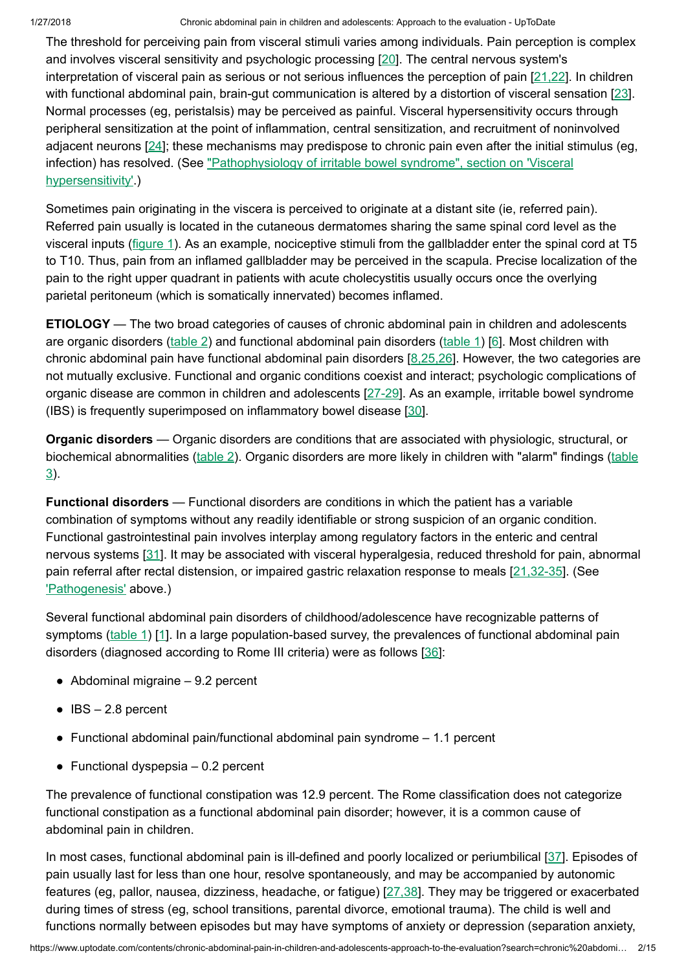The threshold for perceiving pain from visceral stimuli varies among individuals. Pain perception is complex and involves visceral sensitivity and psychologic processing [\[20](https://www.uptodate.com/contents/chronic-abdominal-pain-in-children-and-adolescents-approach-to-the-evaluation/abstract/20)]. The central nervous system's interpretation of visceral pain as serious or not serious influences the perception of pain [\[21,22](https://www.uptodate.com/contents/chronic-abdominal-pain-in-children-and-adolescents-approach-to-the-evaluation/abstract/21,22)]. In children with functional abdominal pain, brain-gut communication is altered by a distortion of visceral sensation [[23\]](https://www.uptodate.com/contents/chronic-abdominal-pain-in-children-and-adolescents-approach-to-the-evaluation/abstract/23). Normal processes (eg, peristalsis) may be perceived as painful. Visceral hypersensitivity occurs through peripheral sensitization at the point of inflammation, central sensitization, and recruitment of noninvolved adjacent neurons [[24\]](https://www.uptodate.com/contents/chronic-abdominal-pain-in-children-and-adolescents-approach-to-the-evaluation/abstract/24); these mechanisms may predispose to chronic pain even after the initial stimulus (eg, infection) has resolved. (See "Pathophysiology of irritable [bowel syndrome",](https://www.uptodate.com/contents/pathophysiology-of-irritable-bowel-syndrome?sectionName=VISCERAL+HYPERSENSITIVITY&anchor=H4&source=see_link#H4) section on 'Visceral hypersensitivity'.)

Sometimes pain originating in the viscera is perceived to originate at a distant site (ie, referred pain). Referred pain usually is located in the cutaneous dermatomes sharing the same spinal cord level as the visceral inputs ([figure](https://www.uptodate.com/contents/image?imageKey=PC%2F61375&topicKey=PEDS%2F111&search=chronic+abdominal+pain+in+children&rank=1%7E150&source=see_link) 1). As an example, nociceptive stimuli from the gallbladder enter the spinal cord at T5 to T10. Thus, pain from an inflamed gallbladder may be perceived in the scapula. Precise localization of the pain to the right upper quadrant in patients with acute cholecystitis usually occurs once the overlying parietal peritoneum (which is somatically innervated) becomes inflamed.

ETIOLOGY — The two broad categories of causes of chronic abdominal pain in children and adolescents are organic disorders ([table](https://www.uptodate.com/contents/image?imageKey=PEDS%2F90723&topicKey=PEDS%2F111&search=chronic+abdominal+pain+in+children&rank=1%7E150&source=see_link) 2) and functional abdominal pain disorders ([table](https://www.uptodate.com/contents/image?imageKey=PEDS%2F71435&topicKey=PEDS%2F111&search=chronic+abdominal+pain+in+children&rank=1%7E150&source=see_link) 1) [[6\]](https://www.uptodate.com/contents/chronic-abdominal-pain-in-children-and-adolescents-approach-to-the-evaluation/abstract/6). Most children with chronic abdominal pain have functional abdominal pain disorders  $[8,25,26]$  $[8,25,26]$ . However, the two categories are not mutually exclusive. Functional and organic conditions coexist and interact; psychologic complications of organic disease are common in children and adolescents [[27-29](https://www.uptodate.com/contents/chronic-abdominal-pain-in-children-and-adolescents-approach-to-the-evaluation/abstract/27-29)]. As an example, irritable bowel syndrome (IBS) is frequently superimposed on inflammatory bowel disease [[30\]](https://www.uptodate.com/contents/chronic-abdominal-pain-in-children-and-adolescents-approach-to-the-evaluation/abstract/30).

Organic disorders — Organic disorders are conditions that are associated with physiologic, structural, or [biochemical abnormalities](https://www.uptodate.com/contents/image?imageKey=PEDS%2F90721&topicKey=PEDS%2F111&search=chronic+abdominal+pain+in+children&rank=1%7E150&source=see_link) ([table](https://www.uptodate.com/contents/image?imageKey=PEDS%2F90723&topicKey=PEDS%2F111&search=chronic+abdominal+pain+in+children&rank=1%7E150&source=see_link) 2). Organic disorders are more likely in children with "alarm" findings (table 3).

Functional disorders — Functional disorders are conditions in which the patient has a variable combination of symptoms without any readily identifiable or strong suspicion of an organic condition. Functional gastrointestinal pain involves interplay among regulatory factors in the enteric and central nervous systems [[31\]](https://www.uptodate.com/contents/chronic-abdominal-pain-in-children-and-adolescents-approach-to-the-evaluation/abstract/31). It may be associated with visceral hyperalgesia, reduced threshold for pain, abnormal pain referral after rectal distension, or impaired gastric relaxation response to meals [\[21,32-35](https://www.uptodate.com/contents/chronic-abdominal-pain-in-children-and-adolescents-approach-to-the-evaluation/abstract/21,32-35)]. (See ['Pathogenesis'](https://www.uptodate.com/contents/chronic-abdominal-pain-in-children-and-adolescents-approach-to-the-evaluation?search=chronic%20abdominal%20pain%20in%20children&source=search_result&selectedTitle=1~150&usage_type=default&display_rank=1#H6) above.)

Several functional abdominal pain disorders of childhood/adolescence have recognizable patterns of symptoms ([table](https://www.uptodate.com/contents/image?imageKey=PEDS%2F71435&topicKey=PEDS%2F111&search=chronic+abdominal+pain+in+children&rank=1%7E150&source=see_link) 1) [[1\]](https://www.uptodate.com/contents/chronic-abdominal-pain-in-children-and-adolescents-approach-to-the-evaluation/abstract/1). In a large population-based survey, the prevalences of functional abdominal pain disorders (diagnosed according to Rome III criteria) were as follows [\[36](https://www.uptodate.com/contents/chronic-abdominal-pain-in-children-and-adolescents-approach-to-the-evaluation/abstract/36)]:

- $\bullet$  Abdominal migraine  $-9.2$  percent
- $\bullet$  IBS  $-$  2.8 percent
- $\bullet$  Functional abdominal pain/functional abdominal pain syndrome  $-1.1$  percent
- $\bullet$  Functional dyspepsia  $-0.2$  percent

The prevalence of functional constipation was 12.9 percent. The Rome classification does not categorize functional constipation as a functional abdominal pain disorder; however, it is a common cause of abdominal pain in children.

In most cases, functional abdominal pain is ill-defined and poorly localized or periumbilical [\[37](https://www.uptodate.com/contents/chronic-abdominal-pain-in-children-and-adolescents-approach-to-the-evaluation/abstract/37)]. Episodes of pain usually last for less than one hour, resolve spontaneously, and may be accompanied by autonomic features (eg, pallor, nausea, dizziness, headache, or fatigue) [\[27,38](https://www.uptodate.com/contents/chronic-abdominal-pain-in-children-and-adolescents-approach-to-the-evaluation/abstract/27,38)]. They may be triggered or exacerbated during times of stress (eg, school transitions, parental divorce, emotional trauma). The child is well and functions normally between episodes but may have symptoms of anxiety or depression (separation anxiety,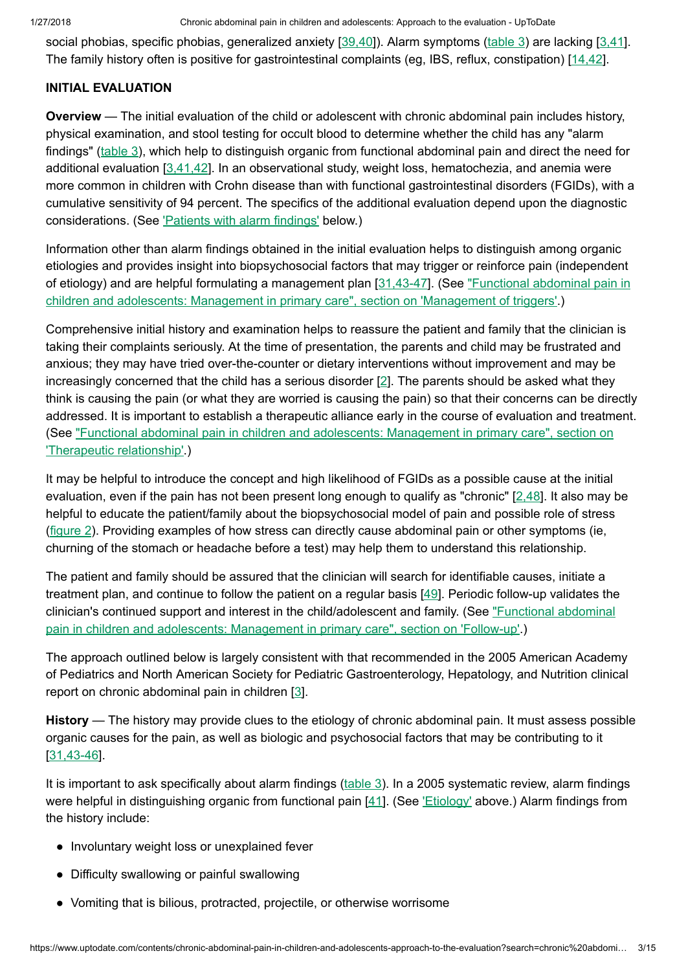social phobias, specific phobias, generalized anxiety [\[39,40](https://www.uptodate.com/contents/chronic-abdominal-pain-in-children-and-adolescents-approach-to-the-evaluation/abstract/39,40)]). Alarm symptoms ([table](https://www.uptodate.com/contents/image?imageKey=PEDS%2F90721&topicKey=PEDS%2F111&search=chronic+abdominal+pain+in+children&rank=1%7E150&source=see_link) 3) are lacking [\[3,41](https://www.uptodate.com/contents/chronic-abdominal-pain-in-children-and-adolescents-approach-to-the-evaluation/abstract/3,41)]. The family history often is positive for gastrointestinal complaints (eg, IBS, reflux, constipation) [[14,42\]](https://www.uptodate.com/contents/chronic-abdominal-pain-in-children-and-adolescents-approach-to-the-evaluation/abstract/14,42).

## INITIAL EVALUATION

Overview — The initial evaluation of the child or adolescent with chronic abdominal pain includes history, physical examination, and stool testing for occult blood to determine whether the child has any "alarm findings" ([table](https://www.uptodate.com/contents/image?imageKey=PEDS%2F90721&topicKey=PEDS%2F111&search=chronic+abdominal+pain+in+children&rank=1%7E150&source=see_link) 3), which help to distinguish organic from functional abdominal pain and direct the need for additional evaluation  $[3,41,42]$  $[3,41,42]$ . In an observational study, weight loss, hematochezia, and anemia were more common in children with Crohn disease than with functional gastrointestinal disorders (FGIDs), with a cumulative sensitivity of 94 percent. The specifics of the additional evaluation depend upon the diagnostic considerations. (See ['Patients](https://www.uptodate.com/contents/chronic-abdominal-pain-in-children-and-adolescents-approach-to-the-evaluation?search=chronic%20abdominal%20pain%20in%20children&source=search_result&selectedTitle=1~150&usage_type=default&display_rank=1#H24) with alarm findings' below.)

Information other than alarm findings obtained in the initial evaluation helps to distinguish among organic etiologies and provides insight into biopsychosocial factors that may trigger or reinforce pain (independent of etiology) and are helpful formulating a management plan [\[31,43-47](https://www.uptodate.com/contents/chronic-abdominal-pain-in-children-and-adolescents-approach-to-the-evaluation/abstract/31,43-47)]. (See ["Functional abdominal pain](https://www.uptodate.com/contents/functional-abdominal-pain-in-children-and-adolescents-management-in-primary-care?sectionName=MANAGEMENT+OF+TRIGGERS&anchor=H67027703&source=see_link#H67027703) in children and adolescents: Management in primary care", section on 'Management of triggers'.)

Comprehensive initial history and examination helps to reassure the patient and family that the clinician is taking their complaints seriously. At the time of presentation, the parents and child may be frustrated and anxious; they may have tried over-the-counter or dietary interventions without improvement and may be increasingly concerned that the child has a serious disorder  $[2]$  $[2]$ . The parents should be asked what they think is causing the pain (or what they are worried is causing the pain) so that their concerns can be directly addressed. It is important to establish a therapeutic alliance early in the course of evaluation and treatment. (See ["Functional abdominal pain](https://www.uptodate.com/contents/functional-abdominal-pain-in-children-and-adolescents-management-in-primary-care?sectionName=Therapeutic+relationship&anchor=H3&source=see_link#H3) in children and adolescents: Management in primary care", section on 'Therapeutic relationship'.)

It may be helpful to introduce the concept and high likelihood of FGIDs as a possible cause at the initial evaluation, even if the pain has not been present long enough to qualify as "chronic" [[2,48\]](https://www.uptodate.com/contents/chronic-abdominal-pain-in-children-and-adolescents-approach-to-the-evaluation/abstract/2,48). It also may be helpful to educate the patient/family about the biopsychosocial model of pain and possible role of stress [\(figure](https://www.uptodate.com/contents/image?imageKey=PEDS%2F90722&topicKey=PEDS%2F111&search=chronic+abdominal+pain+in+children&rank=1%7E150&source=see_link) 2). Providing examples of how stress can directly cause abdominal pain or other symptoms (ie, churning of the stomach or headache before a test) may help them to understand this relationship.

The patient and family should be assured that the clinician will search for identifiable causes, initiate a treatment plan, and continue to follow the patient on a regular basis [\[49](https://www.uptodate.com/contents/chronic-abdominal-pain-in-children-and-adolescents-approach-to-the-evaluation/abstract/49)]. Periodic follow-up validates the clinician's continued support and interest in the child/adolescent and family. (See ["Functional abdominal](https://www.uptodate.com/contents/functional-abdominal-pain-in-children-and-adolescents-management-in-primary-care?sectionName=FOLLOW-UP&anchor=H12&source=see_link#H12) pain in children and adolescents: Management in primary care", section on 'Follow-up'.)

The approach outlined below is largely consistent with that recommended in the 2005 American Academy of Pediatrics and North American Society for Pediatric Gastroenterology, Hepatology, and Nutrition clinical report on chronic abdominal pain in children [[3\]](https://www.uptodate.com/contents/chronic-abdominal-pain-in-children-and-adolescents-approach-to-the-evaluation/abstract/3).

History — The history may provide clues to the etiology of chronic abdominal pain. It must assess possible organic causes for the pain, as well as biologic and psychosocial factors that may be contributing to it [[31,43-46](https://www.uptodate.com/contents/chronic-abdominal-pain-in-children-and-adolescents-approach-to-the-evaluation/abstract/31,43-46)].

It is important to ask specifically about alarm findings [\(table](https://www.uptodate.com/contents/image?imageKey=PEDS%2F90721&topicKey=PEDS%2F111&search=chronic+abdominal+pain+in+children&rank=1%7E150&source=see_link) 3). In a 2005 systematic review, alarm findings were helpful in distinguishing organic from functional pain [\[41](https://www.uptodate.com/contents/chronic-abdominal-pain-in-children-and-adolescents-approach-to-the-evaluation/abstract/41)]. (See ['Etiology'](https://www.uptodate.com/contents/chronic-abdominal-pain-in-children-and-adolescents-approach-to-the-evaluation?search=chronic%20abdominal%20pain%20in%20children&source=search_result&selectedTitle=1~150&usage_type=default&display_rank=1#H10) above.) Alarm findings from the history include:

- Involuntary weight loss or unexplained fever
- Difficulty swallowing or painful swallowing
- Vomiting that is bilious, protracted, projectile, or otherwise worrisome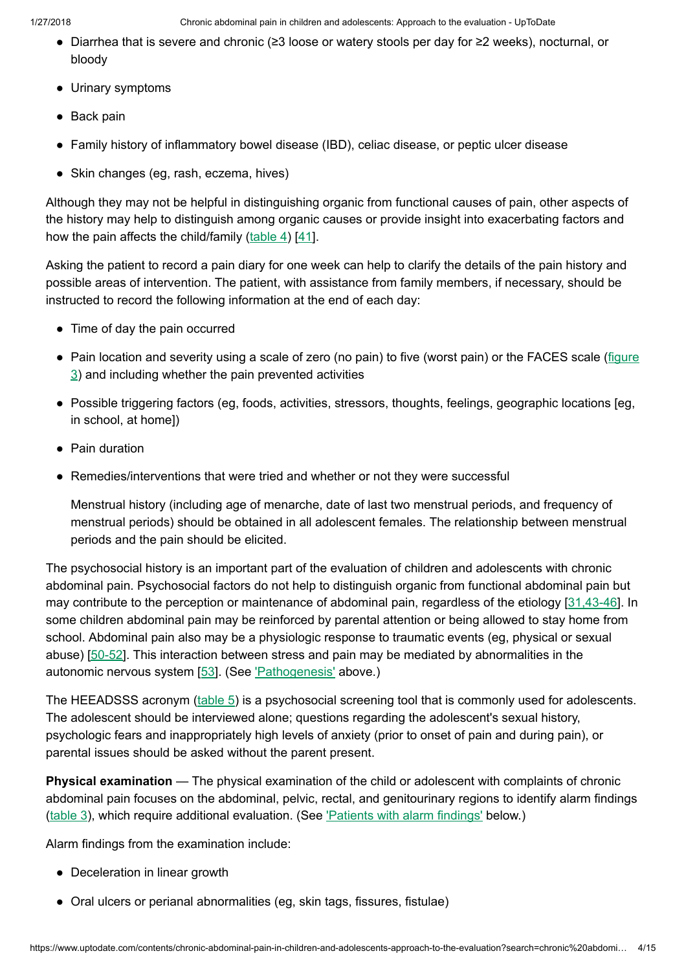- Diarrhea that is severe and chronic (≥3 loose or watery stools per day for ≥2 weeks), nocturnal, or bloody
- Urinary symptoms
- Back pain
- Family history of inflammatory bowel disease (IBD), celiac disease, or peptic ulcer disease
- Skin changes (eg, rash, eczema, hives)

Although they may not be helpful in distinguishing organic from functional causes of pain, other aspects of the history may help to distinguish among organic causes or provide insight into exacerbating factors and how the pain affects the child/family  $(\text{table 4})$  $(\text{table 4})$  $(\text{table 4})$  [[41\]](https://www.uptodate.com/contents/chronic-abdominal-pain-in-children-and-adolescents-approach-to-the-evaluation/abstract/41).

Asking the patient to record a pain diary for one week can help to clarify the details of the pain history and possible areas of intervention. The patient, with assistance from family members, if necessary, should be instructed to record the following information at the end of each day:

- Time of day the pain occurred
- Pain location and severity using a scale of zero (no pain) to five (worst pain) or the FACES scale (figure 3) and including whether the pain [prevented](https://www.uptodate.com/contents/image?imageKey=PEDS%2F51021&topicKey=PEDS%2F111&search=chronic+abdominal+pain+in+children&rank=1%7E150&source=see_link) activities
- Possible triggering factors (eg, foods, activities, stressors, thoughts, feelings, geographic locations [eg, in school, at home])
- Pain duration
- Remedies/interventions that were tried and whether or not they were successful

Menstrual history (including age of menarche, date of last two menstrual periods, and frequency of menstrual periods) should be obtained in all adolescent females. The relationship between menstrual periods and the pain should be elicited.

The psychosocial history is an important part of the evaluation of children and adolescents with chronic abdominal pain. Psychosocial factors do not help to distinguish organic from functional abdominal pain but may contribute to the perception or maintenance of abdominal pain, regardless of the etiology [[31,43-46](https://www.uptodate.com/contents/chronic-abdominal-pain-in-children-and-adolescents-approach-to-the-evaluation/abstract/31,43-46)]. In some children abdominal pain may be reinforced by parental attention or being allowed to stay home from school. Abdominal pain also may be a physiologic response to traumatic events (eg, physical or sexual abuse) [[50-52](https://www.uptodate.com/contents/chronic-abdominal-pain-in-children-and-adolescents-approach-to-the-evaluation/abstract/50-52)]. This interaction between stress and pain may be mediated by abnormalities in the autonomic nervous system [[53\]](https://www.uptodate.com/contents/chronic-abdominal-pain-in-children-and-adolescents-approach-to-the-evaluation/abstract/53). (See ['Pathogenesis'](https://www.uptodate.com/contents/chronic-abdominal-pain-in-children-and-adolescents-approach-to-the-evaluation?search=chronic%20abdominal%20pain%20in%20children&source=search_result&selectedTitle=1~150&usage_type=default&display_rank=1#H6) above.)

The HEEADSSS acronym ([table](https://www.uptodate.com/contents/image?imageKey=PEDS%2F68041&topicKey=PEDS%2F111&search=chronic+abdominal+pain+in+children&rank=1%7E150&source=see_link) 5) is a psychosocial screening tool that is commonly used for adolescents. The adolescent should be interviewed alone; questions regarding the adolescent's sexual history, psychologic fears and inappropriately high levels of anxiety (prior to onset of pain and during pain), or parental issues should be asked without the parent present.

Physical examination — The physical examination of the child or adolescent with complaints of chronic abdominal pain focuses on the abdominal, pelvic, rectal, and genitourinary regions to identify alarm findings [\(table](https://www.uptodate.com/contents/image?imageKey=PEDS%2F90721&topicKey=PEDS%2F111&search=chronic+abdominal+pain+in+children&rank=1%7E150&source=see_link) 3), which require additional evaluation. (See ['Patients](https://www.uptodate.com/contents/chronic-abdominal-pain-in-children-and-adolescents-approach-to-the-evaluation?search=chronic%20abdominal%20pain%20in%20children&source=search_result&selectedTitle=1~150&usage_type=default&display_rank=1#H24) with alarm findings' below.)

Alarm findings from the examination include:

- Deceleration in linear growth
- Oral ulcers or perianal abnormalities (eg, skin tags, fissures, fistulae)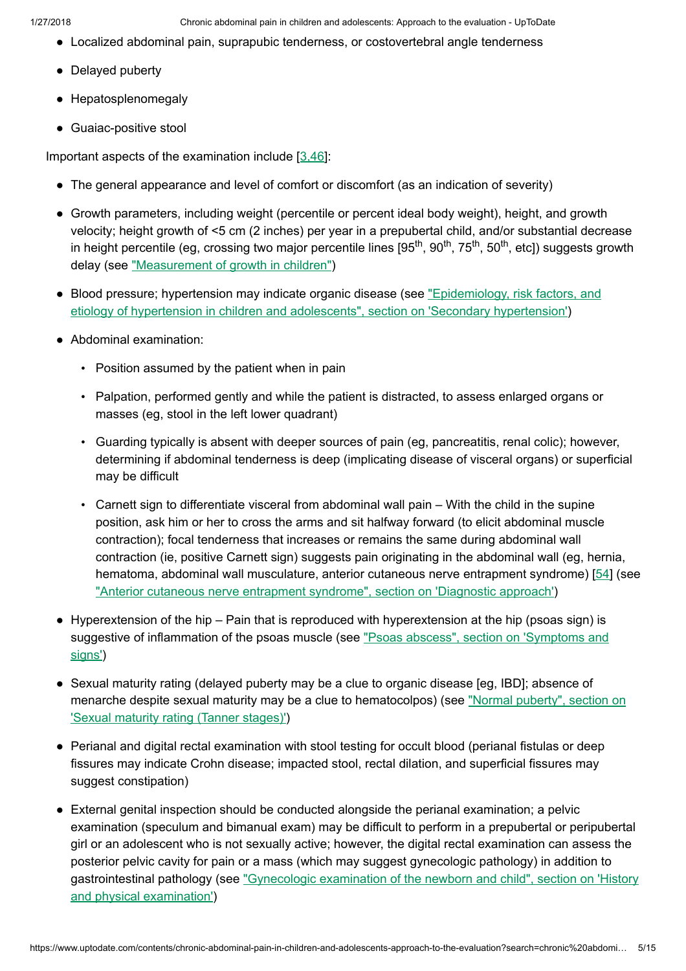- Localized abdominal pain, suprapubic tenderness, or costovertebral angle tenderness
- Delayed puberty
- Hepatosplenomegaly
- Guaiac-positive stool

Important aspects of the examination include  $[3.46]$ :

- The general appearance and level of comfort or discomfort (as an indication of severity)
- Growth parameters, including weight (percentile or percent ideal body weight), height, and growth velocity; height growth of <5 cm (2 inches) per year in a prepubertal child, and/or substantial decrease in height percentile (eg, crossing two major percentile lines [95<sup>th</sup>, 90<sup>th</sup>, 75<sup>th</sup>, 50<sup>th</sup>, etc]) suggests growth delay (see ["Measurement](https://www.uptodate.com/contents/measurement-of-growth-in-children?source=see_link) of growth in children")
- Blood pressure; hypertension may indicate organic disease (see ["Epidemiology,](https://www.uptodate.com/contents/epidemiology-risk-factors-and-etiology-of-hypertension-in-children-and-adolescents?sectionName=Secondary+hypertension&anchor=H15&source=see_link#H15) risk factors, and etiology of hypertension in children and adolescents", section on 'Secondary hypertension')
- Abdominal examination:
	- Position assumed by the patient when in pain
	- Palpation, performed gently and while the patient is distracted, to assess enlarged organs or masses (eg, stool in the left lower quadrant)
	- Guarding typically is absent with deeper sources of pain (eg, pancreatitis, renal colic); however, determining if abdominal tenderness is deep (implicating disease of visceral organs) or superficial may be difficult
	- Carnett sign to differentiate visceral from abdominal wall pain With the child in the supine position, ask him or her to cross the arms and sit halfway forward (to elicit abdominal muscle contraction); focal tenderness that increases or remains the same during abdominal wall contraction (ie, positive Carnett sign) suggests pain originating in the abdominal wall (eg, hernia, hematoma, abdominal wall musculature, anterior cutaneous nerve entrapment syndrome) [[54\]](https://www.uptodate.com/contents/chronic-abdominal-pain-in-children-and-adolescents-approach-to-the-evaluation/abstract/54) (see "Anterior cutaneous nerve [entrapment](https://www.uptodate.com/contents/anterior-cutaneous-nerve-entrapment-syndrome?sectionName=DIAGNOSTIC+APPROACH&anchor=H3287296378&source=see_link#H3287296378) syndrome", section on 'Diagnostic approach')
- Hyperextension of the hip Pain that is reproduced with hyperextension at the hip (psoas sign) is suggestive of [inflammation](https://www.uptodate.com/contents/psoas-abscess?sectionName=Symptoms+and+signs&anchor=H9&source=see_link#H9) of the psoas muscle (see "Psoas abscess", section on 'Symptoms and signs')
- Sexual maturity rating (delayed puberty may be a clue to organic disease [eg, IBD]; absence of menarche despite sexual maturity may be a clue to hematocolpos) (see ["Normal puberty",](https://www.uptodate.com/contents/normal-puberty?sectionName=Sexual+maturity+rating+%28Tanner+stages%29&anchor=H4&source=see_link#H4) section on 'Sexual maturity rating (Tanner stages)')
- Perianal and digital rectal examination with stool testing for occult blood (perianal fistulas or deep fissures may indicate Crohn disease; impacted stool, rectal dilation, and superficial fissures may suggest constipation)
- External genital inspection should be conducted alongside the perianal examination; a pelvic examination (speculum and bimanual exam) may be difficult to perform in a prepubertal or peripubertal girl or an adolescent who is not sexually active; however, the digital rectal examination can assess the posterior pelvic cavity for pain or a mass (which may suggest gynecologic pathology) in addition to [gastrointestinal pathology](https://www.uptodate.com/contents/gynecologic-examination-of-the-newborn-and-child?sectionName=HISTORY+AND+PHYSICAL+EXAMINATION&anchor=H3&source=see_link#H3) (see "Gynecologic examination of the newborn and child", section on 'History and physical examination')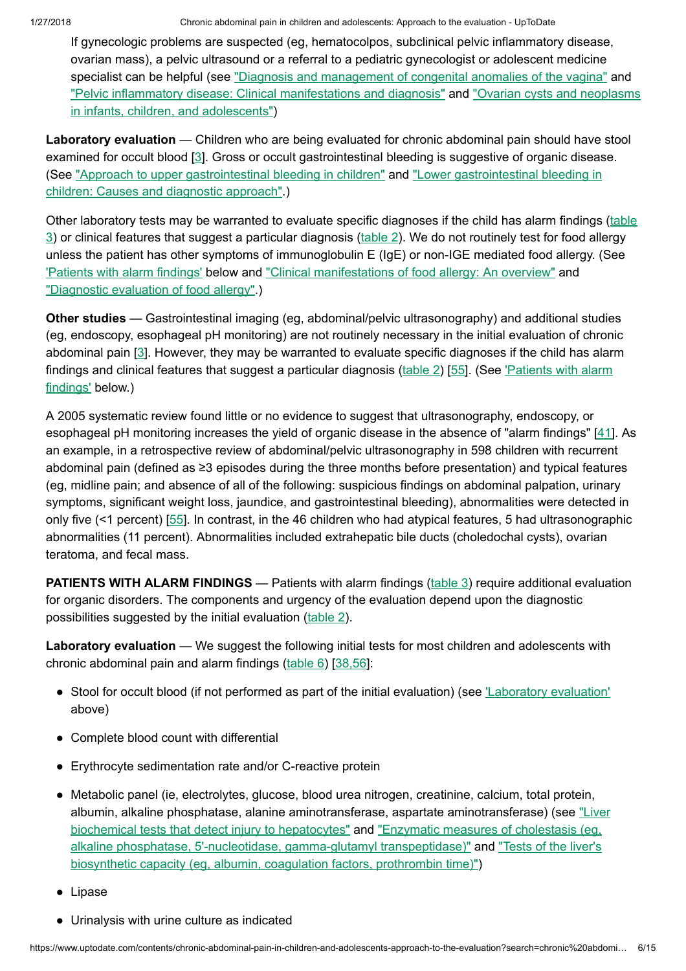If gynecologic problems are suspected (eg, hematocolpos, subclinical pelvic inflammatory disease, ovarian mass), a pelvic ultrasound or a referral to a pediatric gynecologist or adolescent medicine specialist can be helpful (see "Diagnosis and management of [congenital anomalies](https://www.uptodate.com/contents/diagnosis-and-management-of-congenital-anomalies-of-the-vagina?source=see_link) of the vagina" and "Pelvic inflammatory disease: [Clinical manifestations](https://www.uptodate.com/contents/pelvic-inflammatory-disease-clinical-manifestations-and-diagnosis?source=see_link) and diagnosis" and "Ovarian cysts and neoplasms in infants, children, and adolescents")

Laboratory evaluation — Children who are being evaluated for chronic abdominal pain should have stool examined for occult blood [[3\]](https://www.uptodate.com/contents/chronic-abdominal-pain-in-children-and-adolescents-approach-to-the-evaluation/abstract/3). Gross or occult gastrointestinal bleeding is suggestive of organic disease. (See "Approach to upper [gastrointestinal bleeding](https://www.uptodate.com/contents/lower-gastrointestinal-bleeding-in-children-causes-and-diagnostic-approach?source=see_link) in children" and "Lower gastrointestinal bleeding in children: Causes and diagnostic approach".)

Other laboratory tests may be warranted to evaluate specific diagnoses if the child has alarm findings (table 3) or [clinical features](https://www.uptodate.com/contents/image?imageKey=PEDS%2F90721&topicKey=PEDS%2F111&search=chronic+abdominal+pain+in+children&rank=1%7E150&source=see_link) that suggest a particular diagnosis [\(table](https://www.uptodate.com/contents/image?imageKey=PEDS%2F90723&topicKey=PEDS%2F111&search=chronic+abdominal+pain+in+children&rank=1%7E150&source=see_link) 2). We do not routinely test for food allergy unless the patient has other symptoms of immunoglobulin E (IgE) or non-IGE mediated food allergy. (See ['Patients](https://www.uptodate.com/contents/chronic-abdominal-pain-in-children-and-adolescents-approach-to-the-evaluation?search=chronic%20abdominal%20pain%20in%20children&source=search_result&selectedTitle=1~150&usage_type=default&display_rank=1#H24) with alarm findings' below and ["Clinical manifestations](https://www.uptodate.com/contents/clinical-manifestations-of-food-allergy-an-overview?source=see_link) of food allergy: An overview" and ["Diagnostic](https://www.uptodate.com/contents/diagnostic-evaluation-of-food-allergy?source=see_link) evaluation of food allergy".)

Other studies — Gastrointestinal imaging (eg, abdominal/pelvic ultrasonography) and additional studies (eg, endoscopy, esophageal pH monitoring) are not routinely necessary in the initial evaluation of chronic abdominal pain [\[3](https://www.uptodate.com/contents/chronic-abdominal-pain-in-children-and-adolescents-approach-to-the-evaluation/abstract/3)]. However, they may be warranted to evaluate specific diagnoses if the child has alarm findings and [clinical features](https://www.uptodate.com/contents/chronic-abdominal-pain-in-children-and-adolescents-approach-to-the-evaluation?search=chronic%20abdominal%20pain%20in%20children&source=search_result&selectedTitle=1~150&usage_type=default&display_rank=1#H24) that suggest a particular diagnosis ( $table 2$ ) [\[55](https://www.uptodate.com/contents/chronic-abdominal-pain-in-children-and-adolescents-approach-to-the-evaluation/abstract/55)]. (See 'Patients with alarm findings' below.)

A 2005 systematic review found little or no evidence to suggest that ultrasonography, endoscopy, or esophageal pH monitoring increases the yield of organic disease in the absence of "alarm findings" [\[41](https://www.uptodate.com/contents/chronic-abdominal-pain-in-children-and-adolescents-approach-to-the-evaluation/abstract/41)]. As an example, in a retrospective review of abdominal/pelvic ultrasonography in 598 children with recurrent abdominal pain (defined as ≥3 episodes during the three months before presentation) and typical features (eg, midline pain; and absence of all of the following: suspicious findings on abdominal palpation, urinary symptoms, significant weight loss, jaundice, and gastrointestinal bleeding), abnormalities were detected in only five (<1 percent) [[55](https://www.uptodate.com/contents/chronic-abdominal-pain-in-children-and-adolescents-approach-to-the-evaluation/abstract/55)]. In contrast, in the 46 children who had atypical features, 5 had ultrasonographic abnormalities (11 percent). Abnormalities included extrahepatic bile ducts (choledochal cysts), ovarian teratoma, and fecal mass.

**PATIENTS WITH ALARM FINDINGS** — Patients with alarm findings [\(table](https://www.uptodate.com/contents/image?imageKey=PEDS%2F90721&topicKey=PEDS%2F111&search=chronic+abdominal+pain+in+children&rank=1%7E150&source=see_link) 3) require additional evaluation for organic disorders. The components and urgency of the evaluation depend upon the diagnostic possibilities suggested by the initial evaluation ([table](https://www.uptodate.com/contents/image?imageKey=PEDS%2F90723&topicKey=PEDS%2F111&search=chronic+abdominal+pain+in+children&rank=1%7E150&source=see_link) 2).

Laboratory evaluation — We suggest the following initial tests for most children and adolescents with chronic abdominal pain and alarm findings ([table](https://www.uptodate.com/contents/image?imageKey=PEDS%2F90726&topicKey=PEDS%2F111&search=chronic+abdominal+pain+in+children&rank=1%7E150&source=see_link) 6) [[38,56\]](https://www.uptodate.com/contents/chronic-abdominal-pain-in-children-and-adolescents-approach-to-the-evaluation/abstract/38,56):

- Stool for occult blood (if not performed as part of the initial evaluation) (see *Laboratory evaluation'* above)
- Complete blood count with differential
- Erythrocyte sedimentation rate and/or C-reactive protein
- Metabolic panel (ie, electrolytes, glucose, blood urea nitrogen, creatinine, calcium, total protein, albumin, alkaline phosphatase, alanine aminotransferase, aspartate [aminotransferase\)](https://www.uptodate.com/contents/liver-biochemical-tests-that-detect-injury-to-hepatocytes?source=see_link) (see "Liver biochemical tests that detect injury to hepatocytes" and "Enzymatic measures of cholestasis (eg, alkaline phosphatase, 5'-nucleotidase, [gamma-glutamyl transpeptidase\)"](https://www.uptodate.com/contents/tests-of-the-livers-biosynthetic-capacity-eg-albumin-coagulation-factors-prothrombin-time?source=see_link) and "Tests of the liver's biosynthetic capacity (eg, albumin, coagulation factors, prothrombin time)")
- Lipase
- Urinalysis with urine culture as indicated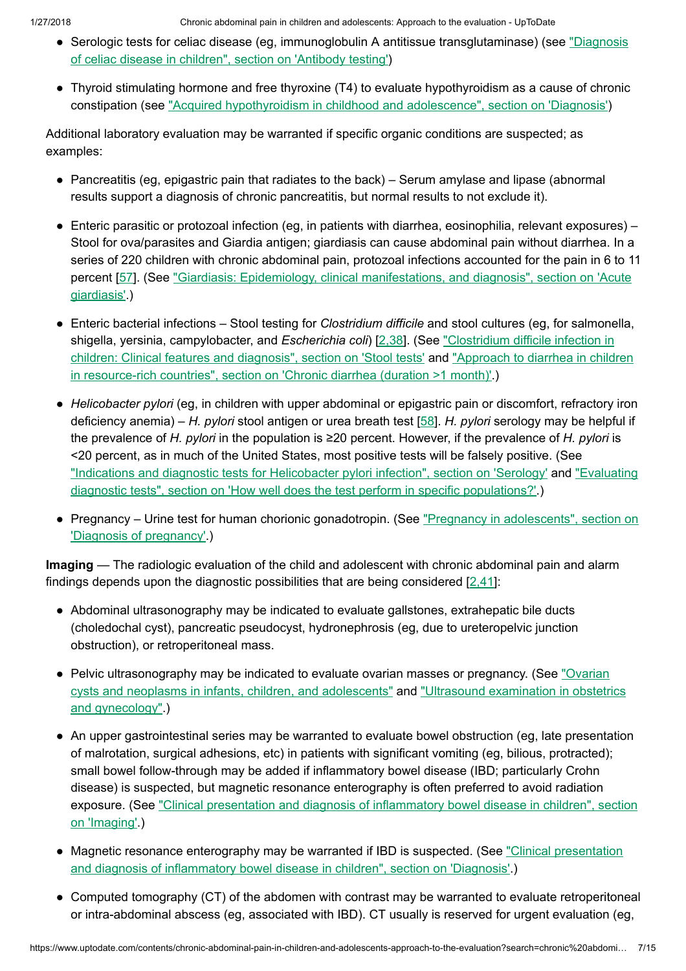- Serologic tests for celiac disease (eg, immunoglobulin A antitissue [transglutaminase\)](https://www.uptodate.com/contents/diagnosis-of-celiac-disease-in-children?sectionName=Antibody+testing&anchor=H477986532&source=see_link#H477986532) (see "Diagnosis of celiac disease in children", section on 'Antibody testing')
- Thyroid stimulating hormone and free thyroxine (T4) to evaluate hypothyroidism as a cause of chronic constipation (see "Acquired [hypothyroidism](https://www.uptodate.com/contents/acquired-hypothyroidism-in-childhood-and-adolescence?sectionName=DIAGNOSIS&anchor=H20&source=see_link#H20) in childhood and adolescence", section on 'Diagnosis')

Additional laboratory evaluation may be warranted if specific organic conditions are suspected; as examples:

- Pancreatitis (eg, epigastric pain that radiates to the back) Serum amylase and lipase (abnormal results support a diagnosis of chronic pancreatitis, but normal results to not exclude it).
- Enteric parasitic or protozoal infection (eg, in patients with diarrhea, eosinophilia, relevant exposures) Stool for ova/parasites and Giardia antigen; giardiasis can cause abdominal pain without diarrhea. In a series of 220 children with chronic abdominal pain, protozoal infections accounted for the pain in 6 to 11 percent [\[57](https://www.uptodate.com/contents/chronic-abdominal-pain-in-children-and-adolescents-approach-to-the-evaluation/abstract/57)]. (See "Giardiasis: Epidemiology, [clinical manifestations,](https://www.uptodate.com/contents/giardiasis-epidemiology-clinical-manifestations-and-diagnosis?sectionName=Acute+giardiasis&anchor=H9&source=see_link#H9) and diagnosis", section on 'Acute giardiasis'.)
- Enteric bacterial infections Stool testing for Clostridium difficile and stool cultures (eg, for salmonella, shigella, yersinia, campylobacter, and Escherichia coli) [\[2,38](https://www.uptodate.com/contents/chronic-abdominal-pain-in-children-and-adolescents-approach-to-the-evaluation/abstract/2,38)]. (See "Clostridium difficile infection in children: [Clinical features](https://www.uptodate.com/contents/approach-to-diarrhea-in-children-in-resource-rich-countries?sectionName=CHRONIC+DIARRHEA+%28DURATION+%3E1+MONTH%29&anchor=H23&source=see_link#H23) and diagnosis", section on 'Stool tests' and "Approach to diarrhea in children in resource-rich countries", section on 'Chronic diarrhea (duration >1 month)'.)
- Helicobacter pylori (eg, in children with upper abdominal or epigastric pain or discomfort, refractory iron deficiency anemia) – H. pylori stool antigen or urea breath test [\[58](https://www.uptodate.com/contents/chronic-abdominal-pain-in-children-and-adolescents-approach-to-the-evaluation/abstract/58)]. H. pylori serology may be helpful if the prevalence of H. pylori in the population is  $\geq 20$  percent. However, if the prevalence of H. pylori is <20 percent, as in much of the United States, most positive tests will be falsely positive. (See "Indications and diagnostic tests for Helicobacter [pylori infection",](https://www.uptodate.com/contents/indications-and-diagnostic-tests-for-helicobacter-pylori-infection?sectionName=Serology&anchor=H20&source=see_link#H20) section on 'Serology' and "Evaluating diagnostic tests", section on 'How well does the test perform in specific populations?'.)
- Pregnancy Urine test for human chorionic [gonadotropin.](https://www.uptodate.com/contents/pregnancy-in-adolescents?sectionName=DIAGNOSIS+OF+PREGNANCY&anchor=H3&source=see_link#H3) (See "Pregnancy in adolescents", section on 'Diagnosis of pregnancy'.)

Imaging — The radiologic evaluation of the child and adolescent with chronic abdominal pain and alarm findings depends upon the diagnostic possibilities that are being considered  $[2,41]$  $[2,41]$ :

- Abdominal ultrasonography may be indicated to evaluate gallstones, extrahepatic bile ducts (choledochal cyst), pancreatic pseudocyst, hydronephrosis (eg, due to ureteropelvic junction obstruction), or retroperitoneal mass.
- Pelvic [ultrasonography](https://www.uptodate.com/contents/ovarian-cysts-and-neoplasms-in-infants-children-and-adolescents?source=see_link) may be indicated to evaluate ovarian masses or pregnancy. (See "Ovarian cysts and neoplasms in infants, children, and adolescents" and "Ultrasound examination in obstetrics and [gynecology".\)](https://www.uptodate.com/contents/ultrasound-examination-in-obstetrics-and-gynecology?source=see_link)
- An upper gastrointestinal series may be warranted to evaluate bowel obstruction (eg, late presentation of malrotation, surgical adhesions, etc) in patients with significant vomiting (eg, bilious, protracted); small bowel follow-through may be added if inflammatory bowel disease (IBD; particularly Crohn disease) is suspected, but magnetic resonance enterography is often preferred to avoid radiation exposure. (See ["Clinical presentation](https://www.uptodate.com/contents/clinical-presentation-and-diagnosis-of-inflammatory-bowel-disease-in-children?sectionName=Imaging&anchor=H13111361&source=see_link#H13111361) and diagnosis of inflammatory bowel disease in children", section on 'Imaging'.)
- Magnetic resonance enterography may be warranted if IBD is suspected. (See ["Clinical presentation](https://www.uptodate.com/contents/clinical-presentation-and-diagnosis-of-inflammatory-bowel-disease-in-children?sectionName=DIAGNOSIS&anchor=H20369433&source=see_link#H20369433) and diagnosis of inflammatory bowel disease in children", section on 'Diagnosis'.)
- Computed tomography (CT) of the abdomen with contrast may be warranted to evaluate retroperitoneal or intra-abdominal abscess (eg, associated with IBD). CT usually is reserved for urgent evaluation (eg,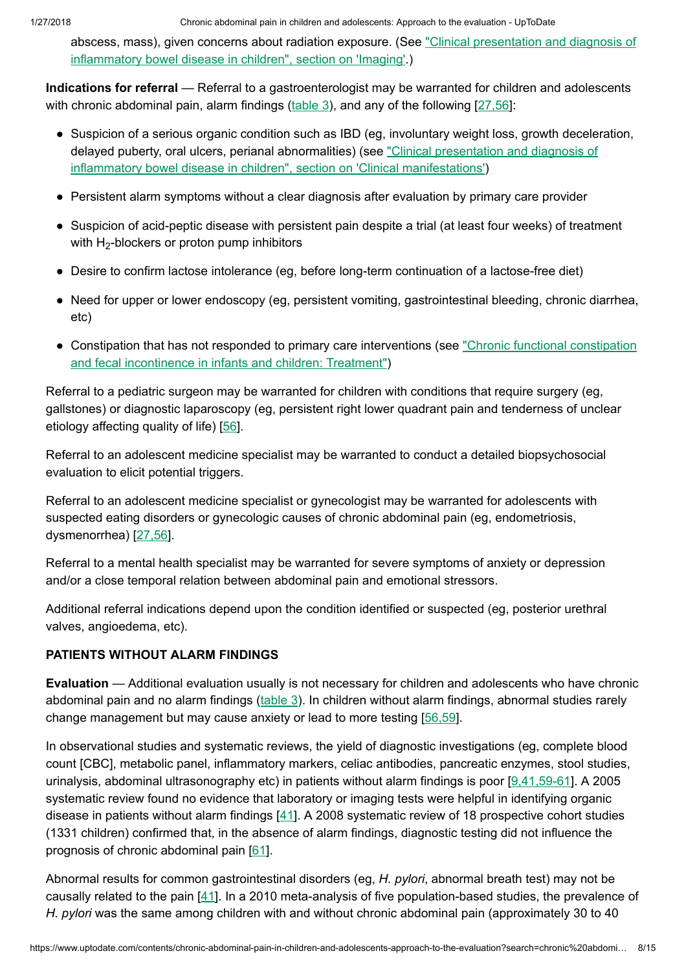abscess, mass), given concerns about radiation exposure. (See ["Clinical presentation](https://www.uptodate.com/contents/clinical-presentation-and-diagnosis-of-inflammatory-bowel-disease-in-children?sectionName=Imaging&anchor=H13111361&source=see_link#H13111361) and diagnosis of inflammatory bowel disease in children", section on 'Imaging'.)

Indications for referral - Referral to a gastroenterologist may be warranted for children and adolescents with chronic abdominal pain, alarm findings  $(\text{table 3})$ , and any of the following  $[27,56]$  $[27,56]$ :

- Suspicion of a serious organic condition such as IBD (eg, involuntary weight loss, growth deceleration, delayed puberty, oral ulcers, perianal abnormalities) (see "Clinical presentation and diagnosis of inflammatory bowel disease in children", section on ['Clinical manifestations'\)](https://www.uptodate.com/contents/clinical-presentation-and-diagnosis-of-inflammatory-bowel-disease-in-children?sectionName=CLINICAL+MANIFESTATIONS&anchor=H184210419&source=see_link#H184210419)
- Persistent alarm symptoms without a clear diagnosis after evaluation by primary care provider
- Suspicion of acid-peptic disease with persistent pain despite a trial (at least four weeks) of treatment with  $H_2$ -blockers or proton pump inhibitors
- Desire to confirm lactose intolerance (eg, before long-term continuation of a lactose-free diet)
- Need for upper or lower endoscopy (eg, persistent vomiting, gastrointestinal bleeding, chronic diarrhea, etc)
- Constipation that has not responded to primary care interventions (see "Chronic [functional constipation](https://www.uptodate.com/contents/chronic-functional-constipation-and-fecal-incontinence-in-infants-and-children-treatment?source=see_link) and fecal incontinence in infants and children: Treatment")

Referral to a pediatric surgeon may be warranted for children with conditions that require surgery (eg, gallstones) or diagnostic laparoscopy (eg, persistent right lower quadrant pain and tenderness of unclear etiology affecting quality of life) [\[56](https://www.uptodate.com/contents/chronic-abdominal-pain-in-children-and-adolescents-approach-to-the-evaluation/abstract/56)].

Referral to an adolescent medicine specialist may be warranted to conduct a detailed biopsychosocial evaluation to elicit potential triggers.

Referral to an adolescent medicine specialist or gynecologist may be warranted for adolescents with suspected eating disorders or gynecologic causes of chronic abdominal pain (eg, endometriosis, dysmenorrhea) [\[27,56](https://www.uptodate.com/contents/chronic-abdominal-pain-in-children-and-adolescents-approach-to-the-evaluation/abstract/27,56)].

Referral to a mental health specialist may be warranted for severe symptoms of anxiety or depression and/or a close temporal relation between abdominal pain and emotional stressors.

Additional referral indications depend upon the condition identified or suspected (eg, posterior urethral valves, angioedema, etc).

### PATIENTS WITHOUT ALARM FINDINGS

Evaluation — Additional evaluation usually is not necessary for children and adolescents who have chronic abdominal pain and no alarm findings ([table](https://www.uptodate.com/contents/image?imageKey=PEDS%2F90721&topicKey=PEDS%2F111&search=chronic+abdominal+pain+in+children&rank=1%7E150&source=see_link) 3). In children without alarm findings, abnormal studies rarely change management but may cause anxiety or lead to more testing [\[56,59](https://www.uptodate.com/contents/chronic-abdominal-pain-in-children-and-adolescents-approach-to-the-evaluation/abstract/56,59)].

In observational studies and systematic reviews, the yield of diagnostic investigations (eg, complete blood count [CBC], metabolic panel, inflammatory markers, celiac antibodies, pancreatic enzymes, stool studies, urinalysis, abdominal ultrasonography etc) in patients without alarm findings is poor [\[9,41,59-61](https://www.uptodate.com/contents/chronic-abdominal-pain-in-children-and-adolescents-approach-to-the-evaluation/abstract/9,41,59-61)]. A 2005 systematic review found no evidence that laboratory or imaging tests were helpful in identifying organic disease in patients without alarm findings [[41\]](https://www.uptodate.com/contents/chronic-abdominal-pain-in-children-and-adolescents-approach-to-the-evaluation/abstract/41). A 2008 systematic review of 18 prospective cohort studies (1331 children) confirmed that, in the absence of alarm findings, diagnostic testing did not influence the prognosis of chronic abdominal pain [[61\]](https://www.uptodate.com/contents/chronic-abdominal-pain-in-children-and-adolescents-approach-to-the-evaluation/abstract/61).

Abnormal results for common gastrointestinal disorders (eg, H. pylori, abnormal breath test) may not be causally related to the pain [[41\]](https://www.uptodate.com/contents/chronic-abdominal-pain-in-children-and-adolescents-approach-to-the-evaluation/abstract/41). In a 2010 meta-analysis of five population-based studies, the prevalence of H. pylori was the same among children with and without chronic abdominal pain (approximately 30 to 40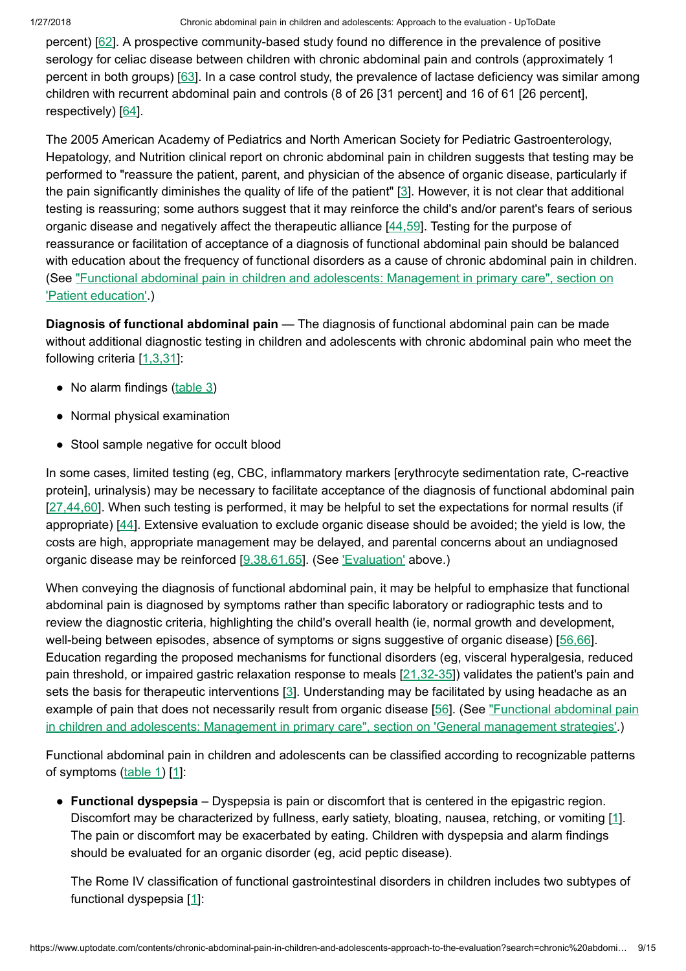percent) [\[62](https://www.uptodate.com/contents/chronic-abdominal-pain-in-children-and-adolescents-approach-to-the-evaluation/abstract/62)]. A prospective community-based study found no difference in the prevalence of positive serology for celiac disease between children with chronic abdominal pain and controls (approximately 1 percent in both groups) [[63\]](https://www.uptodate.com/contents/chronic-abdominal-pain-in-children-and-adolescents-approach-to-the-evaluation/abstract/63). In a case control study, the prevalence of lactase deficiency was similar among children with recurrent abdominal pain and controls (8 of 26 [31 percent] and 16 of 61 [26 percent], respectively) [\[64](https://www.uptodate.com/contents/chronic-abdominal-pain-in-children-and-adolescents-approach-to-the-evaluation/abstract/64)].

The 2005 American Academy of Pediatrics and North American Society for Pediatric Gastroenterology, Hepatology, and Nutrition clinical report on chronic abdominal pain in children suggests that testing may be performed to "reassure the patient, parent, and physician of the absence of organic disease, particularly if the pain significantly diminishes the quality of life of the patient" [[3\]](https://www.uptodate.com/contents/chronic-abdominal-pain-in-children-and-adolescents-approach-to-the-evaluation/abstract/3). However, it is not clear that additional testing is reassuring; some authors suggest that it may reinforce the child's and/or parent's fears of serious organic disease and negatively affect the therapeutic alliance [\[44,59](https://www.uptodate.com/contents/chronic-abdominal-pain-in-children-and-adolescents-approach-to-the-evaluation/abstract/44,59)]. Testing for the purpose of reassurance or facilitation of acceptance of a diagnosis of functional abdominal pain should be balanced with education about the frequency of functional disorders as a cause of chronic abdominal pain in children. (See ["Functional abdominal pain](https://www.uptodate.com/contents/functional-abdominal-pain-in-children-and-adolescents-management-in-primary-care?sectionName=Patient+education&anchor=H4&source=see_link#H4) in children and adolescents: Management in primary care", section on 'Patient education'.)

Diagnosis of functional abdominal pain — The diagnosis of functional abdominal pain can be made without additional diagnostic testing in children and adolescents with chronic abdominal pain who meet the following criteria [[1,3,31\]](https://www.uptodate.com/contents/chronic-abdominal-pain-in-children-and-adolescents-approach-to-the-evaluation/abstract/1,3,31):

- No alarm findings [\(table](https://www.uptodate.com/contents/image?imageKey=PEDS%2F90721&topicKey=PEDS%2F111&search=chronic+abdominal+pain+in+children&rank=1%7E150&source=see_link) 3)
- Normal physical examination
- Stool sample negative for occult blood

In some cases, limited testing (eg, CBC, inflammatory markers [erythrocyte sedimentation rate, C-reactive protein], urinalysis) may be necessary to facilitate acceptance of the diagnosis of functional abdominal pain [[27,44,60\]](https://www.uptodate.com/contents/chronic-abdominal-pain-in-children-and-adolescents-approach-to-the-evaluation/abstract/27,44,60). When such testing is performed, it may be helpful to set the expectations for normal results (if appropriate) [\[44](https://www.uptodate.com/contents/chronic-abdominal-pain-in-children-and-adolescents-approach-to-the-evaluation/abstract/44)]. Extensive evaluation to exclude organic disease should be avoided; the yield is low, the costs are high, appropriate management may be delayed, and parental concerns about an undiagnosed organic disease may be reinforced [[9,38,61,65](https://www.uptodate.com/contents/chronic-abdominal-pain-in-children-and-adolescents-approach-to-the-evaluation/abstract/9,38,61,65)]. (See ['Evaluation'](https://www.uptodate.com/contents/chronic-abdominal-pain-in-children-and-adolescents-approach-to-the-evaluation?search=chronic%20abdominal%20pain%20in%20children&source=search_result&selectedTitle=1~150&usage_type=default&display_rank=1#H679992728) above.)

When conveying the diagnosis of functional abdominal pain, it may be helpful to emphasize that functional abdominal pain is diagnosed by symptoms rather than specific laboratory or radiographic tests and to review the diagnostic criteria, highlighting the child's overall health (ie, normal growth and development, well-being between episodes, absence of symptoms or signs suggestive of organic disease) [\[56,66](https://www.uptodate.com/contents/chronic-abdominal-pain-in-children-and-adolescents-approach-to-the-evaluation/abstract/56,66)]. Education regarding the proposed mechanisms for functional disorders (eg, visceral hyperalgesia, reduced pain threshold, or impaired gastric relaxation response to meals  $[21,32-35]$  $[21,32-35]$ ) validates the patient's pain and sets the basis for therapeutic interventions [\[3](https://www.uptodate.com/contents/chronic-abdominal-pain-in-children-and-adolescents-approach-to-the-evaluation/abstract/3)]. Understanding may be facilitated by using headache as an example of pain that does not necessarily result from organic disease [\[56](https://www.uptodate.com/contents/chronic-abdominal-pain-in-children-and-adolescents-approach-to-the-evaluation/abstract/56)]. (See ["Functional abdominal pain](https://www.uptodate.com/contents/functional-abdominal-pain-in-children-and-adolescents-management-in-primary-care?sectionName=GENERAL+MANAGEMENT+STRATEGIES&anchor=H67027684&source=see_link#H67027684) in children and adolescents: Management in primary care", section on 'General management strategies'.)

Functional abdominal pain in children and adolescents can be classified according to recognizable patterns of symptoms ([table](https://www.uptodate.com/contents/image?imageKey=PEDS%2F71435&topicKey=PEDS%2F111&search=chronic+abdominal+pain+in+children&rank=1%7E150&source=see_link) 1) [[1\]](https://www.uptodate.com/contents/chronic-abdominal-pain-in-children-and-adolescents-approach-to-the-evaluation/abstract/1):

• Functional dyspepsia – Dyspepsia is pain or discomfort that is centered in the epigastric region. Discomfort may be characterized by fullness, early satiety, bloating, nausea, retching, or vomiting [[1\]](https://www.uptodate.com/contents/chronic-abdominal-pain-in-children-and-adolescents-approach-to-the-evaluation/abstract/1). The pain or discomfort may be exacerbated by eating. Children with dyspepsia and alarm findings should be evaluated for an organic disorder (eg, acid peptic disease).

The Rome IV classification of functional gastrointestinal disorders in children includes two subtypes of functional dyspepsia [[1\]](https://www.uptodate.com/contents/chronic-abdominal-pain-in-children-and-adolescents-approach-to-the-evaluation/abstract/1):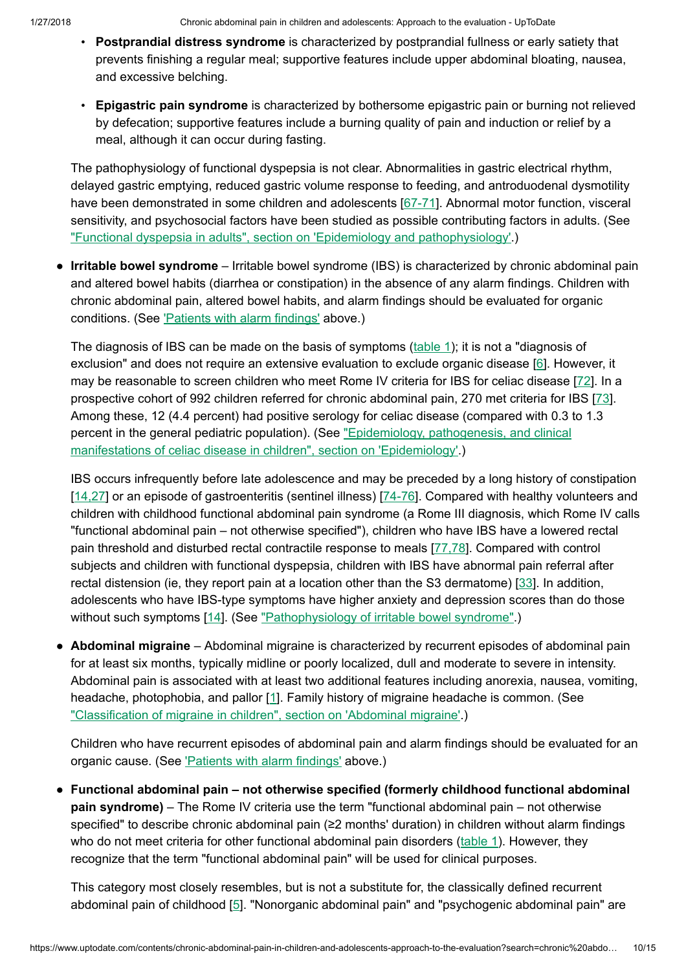- Postprandial distress syndrome is characterized by postprandial fullness or early satiety that prevents finishing a regular meal; supportive features include upper abdominal bloating, nausea, and excessive belching.
- Epigastric pain syndrome is characterized by bothersome epigastric pain or burning not relieved by defecation; supportive features include a burning quality of pain and induction or relief by a meal, although it can occur during fasting.

The pathophysiology of functional dyspepsia is not clear. Abnormalities in gastric electrical rhythm, delayed gastric emptying, reduced gastric volume response to feeding, and antroduodenal dysmotility have been demonstrated in some children and adolescents [\[67-71\]](https://www.uptodate.com/contents/chronic-abdominal-pain-in-children-and-adolescents-approach-to-the-evaluation/abstract/67-71). Abnormal motor function, visceral sensitivity, and psychosocial factors have been studied as possible contributing factors in adults. (See ["Functional dyspepsia](https://www.uptodate.com/contents/functional-dyspepsia-in-adults?sectionName=EPIDEMIOLOGY+AND+PATHOPHYSIOLOGY&anchor=H1788386988&source=see_link#H1788386988) in adults", section on 'Epidemiology and pathophysiology'.)

• Irritable bowel syndrome - Irritable bowel syndrome (IBS) is characterized by chronic abdominal pain and altered bowel habits (diarrhea or constipation) in the absence of any alarm findings. Children with chronic abdominal pain, altered bowel habits, and alarm findings should be evaluated for organic conditions. (See ['Patients](https://www.uptodate.com/contents/chronic-abdominal-pain-in-children-and-adolescents-approach-to-the-evaluation?search=chronic%20abdominal%20pain%20in%20children&source=search_result&selectedTitle=1~150&usage_type=default&display_rank=1#H24) with alarm findings' above.)

The diagnosis of IBS can be made on the basis of symptoms [\(table](https://www.uptodate.com/contents/image?imageKey=PEDS%2F71435&topicKey=PEDS%2F111&search=chronic+abdominal+pain+in+children&rank=1%7E150&source=see_link) 1); it is not a "diagnosis of exclusion" and does not require an extensive evaluation to exclude organic disease [\[6](https://www.uptodate.com/contents/chronic-abdominal-pain-in-children-and-adolescents-approach-to-the-evaluation/abstract/6)]. However, it may be reasonable to screen children who meet Rome IV criteria for IBS for celiac disease [\[72](https://www.uptodate.com/contents/chronic-abdominal-pain-in-children-and-adolescents-approach-to-the-evaluation/abstract/72)]. In a prospective cohort of 992 children referred for chronic abdominal pain, 270 met criteria for IBS [[73\]](https://www.uptodate.com/contents/chronic-abdominal-pain-in-children-and-adolescents-approach-to-the-evaluation/abstract/73). Among these, 12 (4.4 percent) had positive serology for celiac disease (compared with 0.3 to 1.3 percent in the [general pediatric](https://www.uptodate.com/contents/epidemiology-pathogenesis-and-clinical-manifestations-of-celiac-disease-in-children?sectionName=EPIDEMIOLOGY&anchor=H208210137&source=see_link#H208210137) population). (See "Epidemiology, pathogenesis, and clinical manifestations of celiac disease in children", section on 'Epidemiology'.)

IBS occurs infrequently before late adolescence and may be preceded by a long history of constipation [\[14,27](https://www.uptodate.com/contents/chronic-abdominal-pain-in-children-and-adolescents-approach-to-the-evaluation/abstract/14,27)] or an episode of gastroenteritis (sentinel illness) [\[74-76\]](https://www.uptodate.com/contents/chronic-abdominal-pain-in-children-and-adolescents-approach-to-the-evaluation/abstract/74-76). Compared with healthy volunteers and children with childhood functional abdominal pain syndrome (a Rome III diagnosis, which Rome IV calls "functional abdominal pain – not otherwise specified"), children who have IBS have a lowered rectal pain threshold and disturbed rectal contractile response to meals [\[77,78](https://www.uptodate.com/contents/chronic-abdominal-pain-in-children-and-adolescents-approach-to-the-evaluation/abstract/77,78)]. Compared with control subjects and children with functional dyspepsia, children with IBS have abnormal pain referral after rectal distension (ie, they report pain at a location other than the S3 dermatome) [[33](https://www.uptodate.com/contents/chronic-abdominal-pain-in-children-and-adolescents-approach-to-the-evaluation/abstract/33)]. In addition, adolescents who have IBS-type symptoms have higher anxiety and depression scores than do those without such symptoms [[14\]](https://www.uptodate.com/contents/chronic-abdominal-pain-in-children-and-adolescents-approach-to-the-evaluation/abstract/14). (See ["Pathophysiology](https://www.uptodate.com/contents/pathophysiology-of-irritable-bowel-syndrome?source=see_link) of irritable bowel syndrome".)

• Abdominal migraine – Abdominal migraine is characterized by recurrent episodes of abdominal pain for at least six months, typically midline or poorly localized, dull and moderate to severe in intensity. Abdominal pain is associated with at least two additional features including anorexia, nausea, vomiting, headache, photophobia, and pallor [[1\]](https://www.uptodate.com/contents/chronic-abdominal-pain-in-children-and-adolescents-approach-to-the-evaluation/abstract/1). Family history of migraine headache is common. (See "Classification of migraine in children", section on ['Abdominal migraine'.](https://www.uptodate.com/contents/classification-of-migraine-in-children?sectionName=Abdominal+migraine&anchor=H12&source=see_link#H12))

Children who have recurrent episodes of abdominal pain and alarm findings should be evaluated for an organic cause. (See ['Patients](https://www.uptodate.com/contents/chronic-abdominal-pain-in-children-and-adolescents-approach-to-the-evaluation?search=chronic%20abdominal%20pain%20in%20children&source=search_result&selectedTitle=1~150&usage_type=default&display_rank=1#H24) with alarm findings' above.)

● Functional abdominal pain – not otherwise specified (formerly childhood functional abdominal pain syndrome) – The Rome IV criteria use the term "functional abdominal pain – not otherwise specified" to describe chronic abdominal pain (≥2 months' duration) in children without alarm findings who do not meet criteria for other functional abdominal pain disorders ([table](https://www.uptodate.com/contents/image?imageKey=PEDS%2F71435&topicKey=PEDS%2F111&search=chronic+abdominal+pain+in+children&rank=1%7E150&source=see_link) 1). However, they recognize that the term "functional abdominal pain" will be used for clinical purposes.

This category most closely resembles, but is not a substitute for, the classically defined recurrent abdominal pain of childhood [[5\]](https://www.uptodate.com/contents/chronic-abdominal-pain-in-children-and-adolescents-approach-to-the-evaluation/abstract/5). "Nonorganic abdominal pain" and "psychogenic abdominal pain" are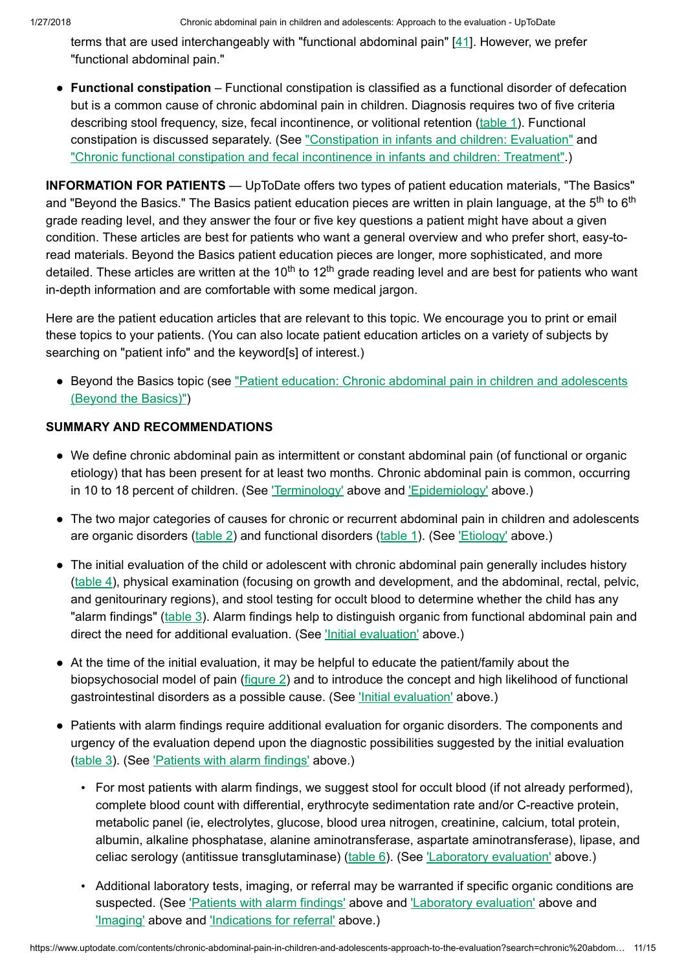terms that are used interchangeably with "functional abdominal pain"  $[41]$  $[41]$ . However, we prefer "functional abdominal pain."

• Functional constipation – Functional constipation is classified as a functional disorder of defecation but is a common cause of chronic abdominal pain in children. Diagnosis requires two of five criteria describing stool frequency, size, fecal incontinence, or volitional retention [\(table](https://www.uptodate.com/contents/image?imageKey=PEDS%2F71435&topicKey=PEDS%2F111&search=chronic+abdominal+pain+in+children&rank=1%7E150&source=see_link) 1). Functional constipation is discussed separately. (See ["Constipation](https://www.uptodate.com/contents/constipation-in-infants-and-children-evaluation?source=see_link) in infants and children: Evaluation" and "Chronic [functional constipation](https://www.uptodate.com/contents/chronic-functional-constipation-and-fecal-incontinence-in-infants-and-children-treatment?source=see_link) and fecal incontinence in infants and children: Treatment".)

INFORMATION FOR PATIENTS — UpToDate offers two types of patient education materials, "The Basics" and "Beyond the Basics." The Basics patient education pieces are written in plain language, at the 5<sup>th</sup> to 6<sup>th</sup> grade reading level, and they answer the four or five key questions a patient might have about a given condition. These articles are best for patients who want a general overview and who prefer short, easy-toread materials. Beyond the Basics patient education pieces are longer, more sophisticated, and more detailed. These articles are written at the 10<sup>th</sup> to 12<sup>th</sup> grade reading level and are best for patients who want in-depth information and are comfortable with some medical jargon.

Here are the patient education articles that are relevant to this topic. We encourage you to print or email these topics to your patients. (You can also locate patient education articles on a variety of subjects by searching on "patient info" and the keyword[s] of interest.)

• Beyond the Basics topic (see "Patient education: Chronic [abdominal pain](https://www.uptodate.com/contents/chronic-abdominal-pain-in-children-and-adolescents-beyond-the-basics?source=see_link) in children and adolescents (Beyond the Basics)")

## SUMMARY AND RECOMMENDATIONS

- We define chronic abdominal pain as intermittent or constant abdominal pain (of functional or organic etiology) that has been present for at least two months. Chronic abdominal pain is common, occurring in 10 to 18 percent of children. (See ['Terminology'](https://www.uptodate.com/contents/chronic-abdominal-pain-in-children-and-adolescents-approach-to-the-evaluation?search=chronic%20abdominal%20pain%20in%20children&source=search_result&selectedTitle=1~150&usage_type=default&display_rank=1#H2) above and ['Epidemiology'](https://www.uptodate.com/contents/chronic-abdominal-pain-in-children-and-adolescents-approach-to-the-evaluation?search=chronic%20abdominal%20pain%20in%20children&source=search_result&selectedTitle=1~150&usage_type=default&display_rank=1#H5) above.)
- The two major categories of causes for chronic or recurrent abdominal pain in children and adolescents are organic disorders [\(table](https://www.uptodate.com/contents/image?imageKey=PEDS%2F90723&topicKey=PEDS%2F111&search=chronic+abdominal+pain+in+children&rank=1%7E150&source=see_link) 2) and functional disorders ([table](https://www.uptodate.com/contents/image?imageKey=PEDS%2F71435&topicKey=PEDS%2F111&search=chronic+abdominal+pain+in+children&rank=1%7E150&source=see_link) 1). (See ['Etiology'](https://www.uptodate.com/contents/chronic-abdominal-pain-in-children-and-adolescents-approach-to-the-evaluation?search=chronic%20abdominal%20pain%20in%20children&source=search_result&selectedTitle=1~150&usage_type=default&display_rank=1#H10) above.)
- The initial evaluation of the child or adolescent with chronic abdominal pain generally includes history [\(table](https://www.uptodate.com/contents/image?imageKey=PEDS%2F58194&topicKey=PEDS%2F111&search=chronic+abdominal+pain+in+children&rank=1%7E150&source=see_link) 4), physical examination (focusing on growth and development, and the abdominal, rectal, pelvic, and genitourinary regions), and stool testing for occult blood to determine whether the child has any "alarm findings" ([table](https://www.uptodate.com/contents/image?imageKey=PEDS%2F90721&topicKey=PEDS%2F111&search=chronic+abdominal+pain+in+children&rank=1%7E150&source=see_link) 3). Alarm findings help to distinguish organic from functional abdominal pain and direct the need for additional evaluation. (See ['Initial evaluation'](https://www.uptodate.com/contents/chronic-abdominal-pain-in-children-and-adolescents-approach-to-the-evaluation?search=chronic%20abdominal%20pain%20in%20children&source=search_result&selectedTitle=1~150&usage_type=default&display_rank=1#H279254633) above.)
- At the time of the initial evaluation, it may be helpful to educate the patient/family about the biopsychosocial model of pain [\(figure](https://www.uptodate.com/contents/image?imageKey=PEDS%2F90722&topicKey=PEDS%2F111&search=chronic+abdominal+pain+in+children&rank=1%7E150&source=see_link) 2) and to introduce the concept and high likelihood of functional gastrointestinal disorders as a possible cause. (See ['Initial evaluation'](https://www.uptodate.com/contents/chronic-abdominal-pain-in-children-and-adolescents-approach-to-the-evaluation?search=chronic%20abdominal%20pain%20in%20children&source=search_result&selectedTitle=1~150&usage_type=default&display_rank=1#H279254633) above.)
- Patients with alarm findings require additional evaluation for organic disorders. The components and urgency of the evaluation depend upon the diagnostic possibilities suggested by the initial evaluation [\(table](https://www.uptodate.com/contents/image?imageKey=PEDS%2F90721&topicKey=PEDS%2F111&search=chronic+abdominal+pain+in+children&rank=1%7E150&source=see_link) 3). (See ['Patients](https://www.uptodate.com/contents/chronic-abdominal-pain-in-children-and-adolescents-approach-to-the-evaluation?search=chronic%20abdominal%20pain%20in%20children&source=search_result&selectedTitle=1~150&usage_type=default&display_rank=1#H24) with alarm findings' above.)
	- For most patients with alarm findings, we suggest stool for occult blood (if not already performed), complete blood count with differential, erythrocyte sedimentation rate and/or C-reactive protein, metabolic panel (ie, electrolytes, glucose, blood urea nitrogen, creatinine, calcium, total protein, albumin, alkaline phosphatase, alanine aminotransferase, aspartate aminotransferase), lipase, and celiac serology (antitissue transglutaminase) [\(table](https://www.uptodate.com/contents/image?imageKey=PEDS%2F90726&topicKey=PEDS%2F111&search=chronic+abdominal+pain+in+children&rank=1%7E150&source=see_link) 6). (See ['Laboratory](https://www.uptodate.com/contents/chronic-abdominal-pain-in-children-and-adolescents-approach-to-the-evaluation?search=chronic%20abdominal%20pain%20in%20children&source=search_result&selectedTitle=1~150&usage_type=default&display_rank=1#H15086058) evaluation' above.)
	- Additional laboratory tests, imaging, or referral may be warranted if specific organic conditions are suspected. (See ['Patients](https://www.uptodate.com/contents/chronic-abdominal-pain-in-children-and-adolescents-approach-to-the-evaluation?search=chronic%20abdominal%20pain%20in%20children&source=search_result&selectedTitle=1~150&usage_type=default&display_rank=1#H24) with alarm findings' above and ['Laboratory](https://www.uptodate.com/contents/chronic-abdominal-pain-in-children-and-adolescents-approach-to-the-evaluation?search=chronic%20abdominal%20pain%20in%20children&source=search_result&selectedTitle=1~150&usage_type=default&display_rank=1#H15086058) evaluation' above and ['Imaging'](https://www.uptodate.com/contents/chronic-abdominal-pain-in-children-and-adolescents-approach-to-the-evaluation?search=chronic%20abdominal%20pain%20in%20children&source=search_result&selectedTitle=1~150&usage_type=default&display_rank=1#H15086064) above and ['Indications](https://www.uptodate.com/contents/chronic-abdominal-pain-in-children-and-adolescents-approach-to-the-evaluation?search=chronic%20abdominal%20pain%20in%20children&source=search_result&selectedTitle=1~150&usage_type=default&display_rank=1#H15085629) for referral' above.)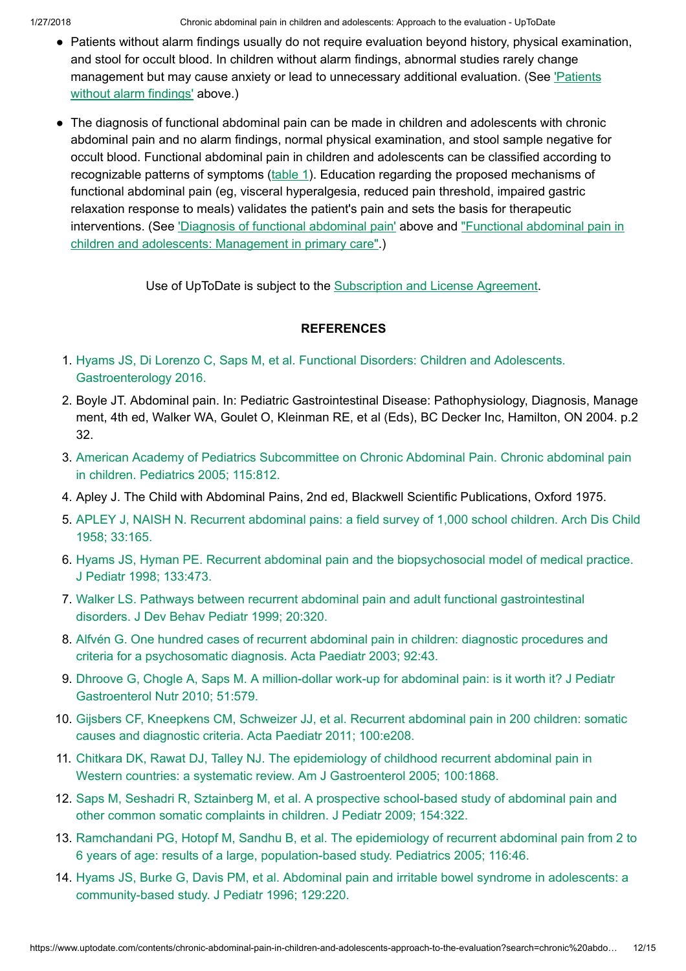1/27/2018 Chronic abdominal pain in children and adolescents: Approach to the evaluation - UpToDate

- Patients without alarm findings usually do not require evaluation beyond history, physical examination, and stool for occult blood. In children without alarm findings, abnormal studies rarely change management but may cause anxiety or lead to unnecessary [additional evaluation.](https://www.uptodate.com/contents/chronic-abdominal-pain-in-children-and-adolescents-approach-to-the-evaluation?search=chronic%20abdominal%20pain%20in%20children&source=search_result&selectedTitle=1~150&usage_type=default&display_rank=1#H279254682) (See 'Patients without alarm findings' above.)
- The diagnosis of functional abdominal pain can be made in children and adolescents with chronic abdominal pain and no alarm findings, normal physical examination, and stool sample negative for occult blood. Functional abdominal pain in children and adolescents can be classified according to recognizable patterns of symptoms [\(table](https://www.uptodate.com/contents/image?imageKey=PEDS%2F71435&topicKey=PEDS%2F111&search=chronic+abdominal+pain+in+children&rank=1%7E150&source=see_link) 1). Education regarding the proposed mechanisms of functional abdominal pain (eg, visceral hyperalgesia, reduced pain threshold, impaired gastric relaxation response to meals) validates the patient's pain and sets the basis for therapeutic interventions. (See 'Diagnosis of [functional abdominal pain'](https://www.uptodate.com/contents/chronic-abdominal-pain-in-children-and-adolescents-approach-to-the-evaluation?search=chronic%20abdominal%20pain%20in%20children&source=search_result&selectedTitle=1~150&usage_type=default&display_rank=1#H75070366) above and ["Functional abdominal pain](https://www.uptodate.com/contents/functional-abdominal-pain-in-children-and-adolescents-management-in-primary-care?source=see_link) in children and adolescents: Management in primary care".)

Use of UpToDate is subject to the [Subscription](https://www.uptodate.com/legal/license) and License Agreement.

# **REFERENCES**

- 1. Hyams JS, Di Lorenzo C, Saps M, et al. [Functional Disorders:](https://www.uptodate.com/contents/chronic-abdominal-pain-in-children-and-adolescents-approach-to-the-evaluation/abstract/1) Children and Adolescents. Gastroenterology 2016.
- 2. Boyle JT. Abdominal pain. In: Pediatric Gastrointestinal Disease: Pathophysiology, Diagnosis, Manage ment, 4th ed, Walker WA, Goulet O, Kleinman RE, et al (Eds), BC Decker Inc, Hamilton, ON 2004. p.2 32.
- 3. American Academy of Pediatrics Subcommittee on Chronic [Abdominal Pain.](https://www.uptodate.com/contents/chronic-abdominal-pain-in-children-and-adolescents-approach-to-the-evaluation/abstract/3) Chronic abdominal pain in children. Pediatrics 2005; 115:812.
- 4. Apley J. The Child with Abdominal Pains, 2nd ed, Blackwell Scientific Publications, Oxford 1975.
- 5. APLEY J, NAISH N. Recurrent [abdominal pains:](https://www.uptodate.com/contents/chronic-abdominal-pain-in-children-and-adolescents-approach-to-the-evaluation/abstract/5) a field survey of 1,000 school children. Arch Dis Child 1958; 33:165.
- 6. Hyams JS, Hyman PE. Recurrent abdominal pain and the [biopsychosocial model of](https://www.uptodate.com/contents/chronic-abdominal-pain-in-children-and-adolescents-approach-to-the-evaluation/abstract/6) medical practice. J Pediatr 1998; 133:473.
- 7. Walker LS. Pathways between recurrent abdominal pain and adult [functional gastrointestinal](https://www.uptodate.com/contents/chronic-abdominal-pain-in-children-and-adolescents-approach-to-the-evaluation/abstract/7) disorders. J Dev Behav Pediatr 1999; 20:320.
- 8. Alfvén G. One hundred cases of recurrent [abdominal pain](https://www.uptodate.com/contents/chronic-abdominal-pain-in-children-and-adolescents-approach-to-the-evaluation/abstract/8) in children: diagnostic procedures and criteria for a psychosomatic diagnosis. Acta Paediatr 2003; 92:43.
- 9. Dhroove G, Chogle A, Saps M. A million-dollar work-up for abdominal pain: is it worth it? J Pediatr [Gastroenterol Nutr](https://www.uptodate.com/contents/chronic-abdominal-pain-in-children-and-adolescents-approach-to-the-evaluation/abstract/9) 2010; 51:579.
- 10. Gijsbers CF, Kneepkens CM, Schweizer JJ, et al. Recurrent [abdominal pain](https://www.uptodate.com/contents/chronic-abdominal-pain-in-children-and-adolescents-approach-to-the-evaluation/abstract/10) in 200 children: somatic causes and diagnostic criteria. Acta Paediatr 2011; 100:e208.
- 11. Chitkara DK, Rawat DJ, Talley NJ. The epidemiology of childhood recurrent abdominal pain in Western countries: a systematic review. Am J [Gastroenterol 2005;](https://www.uptodate.com/contents/chronic-abdominal-pain-in-children-and-adolescents-approach-to-the-evaluation/abstract/11) 100:1868.
- 12. Saps M, Seshadri R, Sztainberg M, et al. A prospective school-based study of [abdominal pain](https://www.uptodate.com/contents/chronic-abdominal-pain-in-children-and-adolescents-approach-to-the-evaluation/abstract/12) and other common somatic complaints in children. J Pediatr 2009; 154:322.
- 13. [Ramchandani PG,](https://www.uptodate.com/contents/chronic-abdominal-pain-in-children-and-adolescents-approach-to-the-evaluation/abstract/13) Hotopf M, Sandhu B, et al. The epidemiology of recurrent abdominal pain from 2 to 6 years of age: results of a large, population-based study. Pediatrics 2005; 116:46.
- 14. Hyams JS, Burke G, Davis PM, et al. Abdominal pain and irritable bowel syndrome in adolescents: a [community-based](https://www.uptodate.com/contents/chronic-abdominal-pain-in-children-and-adolescents-approach-to-the-evaluation/abstract/14) study. J Pediatr 1996; 129:220.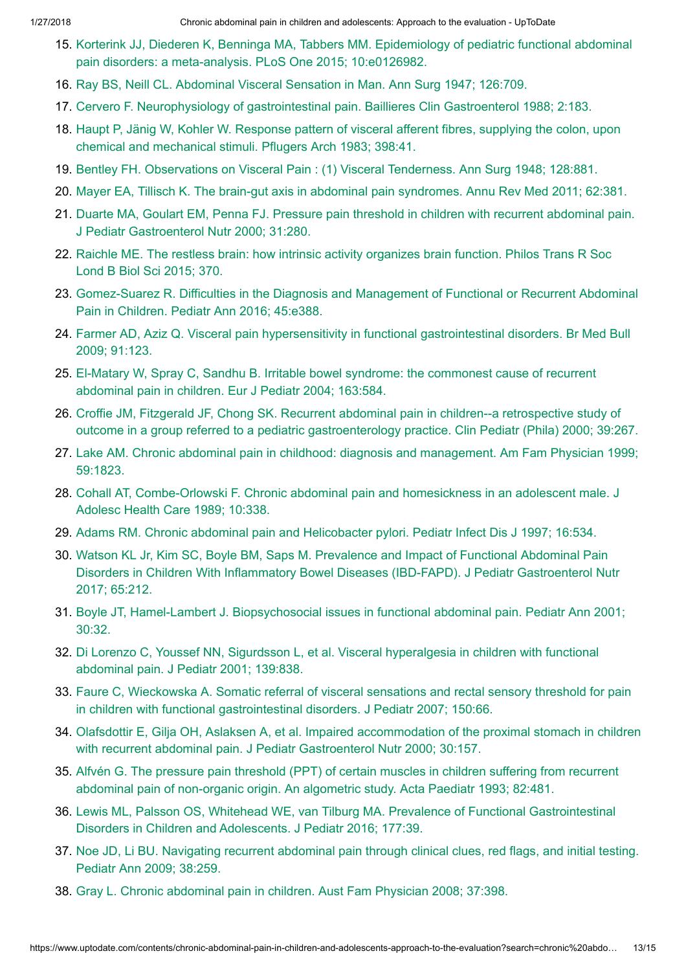- 15. Korterink JJ, Diederen K, Benninga MA, Tabbers MM. Epidemiology of pediatric [functional abdominal](https://www.uptodate.com/contents/chronic-abdominal-pain-in-children-and-adolescents-approach-to-the-evaluation/abstract/15) pain disorders: a meta-analysis. PLoS One 2015; 10:e0126982.
- 16. Ray BS, Neill CL. [Abdominal Visceral Sensation](https://www.uptodate.com/contents/chronic-abdominal-pain-in-children-and-adolescents-approach-to-the-evaluation/abstract/16) in Man. Ann Surg 1947; 126:709.
- 17. Cervero F. Neurophysiology of [gastrointestinal pain.](https://www.uptodate.com/contents/chronic-abdominal-pain-in-children-and-adolescents-approach-to-the-evaluation/abstract/17) Baillieres Clin Gastroenterol 1988; 2:183.
- 18. Haupt P, Jänig W, Kohler W. Response pattern of visceral afferent fibres, supplying the colon, upon chemical and [mechanical stimuli.](https://www.uptodate.com/contents/chronic-abdominal-pain-in-children-and-adolescents-approach-to-the-evaluation/abstract/18) Pflugers Arch 1983; 398:41.
- 19. Bentley FH. Observations on Visceral Pain : (1) [Visceral Tenderness.](https://www.uptodate.com/contents/chronic-abdominal-pain-in-children-and-adolescents-approach-to-the-evaluation/abstract/19) Ann Surg 1948; 128:881.
- 20. Mayer EA, Tillisch K. The brain-gut axis in [abdominal pain](https://www.uptodate.com/contents/chronic-abdominal-pain-in-children-and-adolescents-approach-to-the-evaluation/abstract/20) syndromes. Annu Rev Med 2011; 62:381.
- 21. Duarte MA, Goulart EM, Penna FJ. Pressure pain threshold in children with recurrent abdominal pain. J Pediatr [Gastroenterol Nutr](https://www.uptodate.com/contents/chronic-abdominal-pain-in-children-and-adolescents-approach-to-the-evaluation/abstract/21) 2000; 31:280.
- 22. Raichle ME. The restless brain: how intrinsic activity organizes brain function. Philos Trans R Soc Lond B [Biol Sci 2015;](https://www.uptodate.com/contents/chronic-abdominal-pain-in-children-and-adolescents-approach-to-the-evaluation/abstract/22) 370.
- 23. [Gomez-Suarez](https://www.uptodate.com/contents/chronic-abdominal-pain-in-children-and-adolescents-approach-to-the-evaluation/abstract/23) R. Difficulties in the Diagnosis and Management of Functional or Recurrent Abdominal Pain in Children. Pediatr Ann 2016; 45:e388.
- 24. Farmer AD, Aziz Q. Visceral pain hypersensitivity in [functional gastrointestinal disorders.](https://www.uptodate.com/contents/chronic-abdominal-pain-in-children-and-adolescents-approach-to-the-evaluation/abstract/24) Br Med Bull 2009; 91:123.
- 25. El-Matary W, Spray C, Sandhu B. Irritable [bowel syndrome:](https://www.uptodate.com/contents/chronic-abdominal-pain-in-children-and-adolescents-approach-to-the-evaluation/abstract/25) the commonest cause of recurrent abdominal pain in children. Eur J Pediatr 2004; 163:584.
- 26. Croffie JM, Fitzgerald JF, Chong SK. Recurrent abdominal pain in children--a retrospective study of outcome in a group referred to a pediatric [gastroenterology](https://www.uptodate.com/contents/chronic-abdominal-pain-in-children-and-adolescents-approach-to-the-evaluation/abstract/26) practice. Clin Pediatr (Phila) 2000; 39:267.
- 27. Lake AM. Chronic [abdominal pain](https://www.uptodate.com/contents/chronic-abdominal-pain-in-children-and-adolescents-approach-to-the-evaluation/abstract/27) in childhood: diagnosis and management. Am Fam Physician 1999; 59:1823.
- 28. Cohall AT, [Combe-Orlowski F.](https://www.uptodate.com/contents/chronic-abdominal-pain-in-children-and-adolescents-approach-to-the-evaluation/abstract/28) Chronic abdominal pain and homesickness in an adolescent male. J Adolesc Health Care 1989; 10:338.
- 29. Adams RM. Chronic [abdominal pain](https://www.uptodate.com/contents/chronic-abdominal-pain-in-children-and-adolescents-approach-to-the-evaluation/abstract/29) and Helicobacter pylori. Pediatr Infect Dis J 1997; 16:534.
- 30. Watson KL Jr, Kim SC, Boyle BM, Saps M. Prevalence and Impact of [Functional Abdominal Pain](https://www.uptodate.com/contents/chronic-abdominal-pain-in-children-and-adolescents-approach-to-the-evaluation/abstract/30) Disorders in Children With Inflammatory Bowel Diseases (IBD-FAPD). J Pediatr Gastroenterol Nutr 2017; 65:212.
- 31. Boyle JT, Hamel-Lambert J. Biopsychosocial issues in [functional abdominal pain.](https://www.uptodate.com/contents/chronic-abdominal-pain-in-children-and-adolescents-approach-to-the-evaluation/abstract/31) Pediatr Ann 2001; 30:32.
- 32. Di Lorenzo C, Youssef NN, Sigurdsson L, et al. [Visceral hyperalgesia](https://www.uptodate.com/contents/chronic-abdominal-pain-in-children-and-adolescents-approach-to-the-evaluation/abstract/32) in children with functional abdominal pain. J Pediatr 2001; 139:838.
- 33. Faure C, Wieckowska A. Somatic referral of visceral sensations and rectal sensory threshold for pain in children with [functional gastrointestinal disorders.](https://www.uptodate.com/contents/chronic-abdominal-pain-in-children-and-adolescents-approach-to-the-evaluation/abstract/33) J Pediatr 2007; 150:66.
- 34. Olafsdottir E, Gilja OH, Aslaksen A, et al. Impaired accommodation of the proximal stomach in children with recurrent abdominal pain. J Pediatr [Gastroenterol Nutr](https://www.uptodate.com/contents/chronic-abdominal-pain-in-children-and-adolescents-approach-to-the-evaluation/abstract/34) 2000; 30:157.
- 35. Alfvén G. The pressure pain threshold (PPT) of certain muscles in children suffering from recurrent [abdominal pain](https://www.uptodate.com/contents/chronic-abdominal-pain-in-children-and-adolescents-approach-to-the-evaluation/abstract/35) of non-organic origin. An algometric study. Acta Paediatr 1993; 82:481.
- 36. Lewis ML, Palsson OS, Whitehead WE, van Tilburg MA. Prevalence of [Functional Gastrointestinal](https://www.uptodate.com/contents/chronic-abdominal-pain-in-children-and-adolescents-approach-to-the-evaluation/abstract/36) Disorders in Children and Adolescents. J Pediatr 2016; 177:39.
- 37. Noe JD, Li BU. Navigating recurrent [abdominal pain](https://www.uptodate.com/contents/chronic-abdominal-pain-in-children-and-adolescents-approach-to-the-evaluation/abstract/37) through clinical clues, red flags, and initial testing. Pediatr Ann 2009; 38:259.
- 38. Gray L. Chronic [abdominal pain](https://www.uptodate.com/contents/chronic-abdominal-pain-in-children-and-adolescents-approach-to-the-evaluation/abstract/38) in children. Aust Fam Physician 2008; 37:398.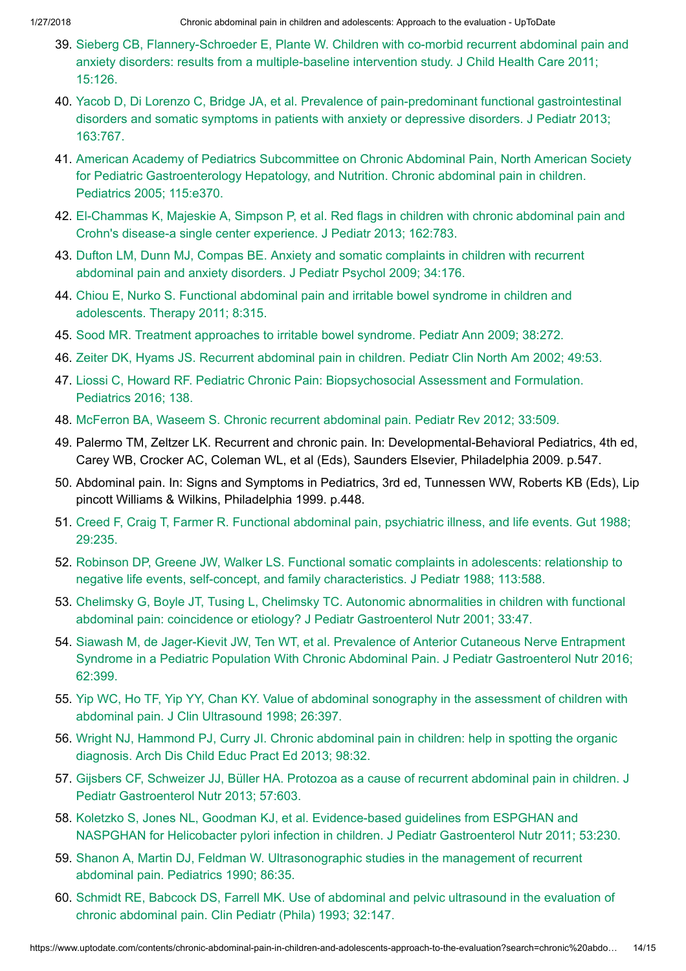- 39. Sieberg CB, [Flannery-Schroeder](https://www.uptodate.com/contents/chronic-abdominal-pain-in-children-and-adolescents-approach-to-the-evaluation/abstract/39) E, Plante W. Children with co-morbid recurrent abdominal pain and anxiety disorders: results from a multiple-baseline intervention study. J Child Health Care 2011; 15:126.
- 40. Yacob D, Di Lorenzo C, Bridge JA, et al. Prevalence of pain-predominant [functional gastrointestinal](https://www.uptodate.com/contents/chronic-abdominal-pain-in-children-and-adolescents-approach-to-the-evaluation/abstract/40) disorders and somatic symptoms in patients with anxiety or depressive disorders. J Pediatr 2013; 163:767.
- 41. American Academy of Pediatrics Subcommittee on Chronic Abdominal Pain, North American Society for Pediatric [Gastroenterology](https://www.uptodate.com/contents/chronic-abdominal-pain-in-children-and-adolescents-approach-to-the-evaluation/abstract/41) Hepatology, and Nutrition. Chronic abdominal pain in children. Pediatrics 2005; 115:e370.
- 42. El-Chammas K, Majeskie A, Simpson P, et al. Red flags in children with chronic [abdominal pain](https://www.uptodate.com/contents/chronic-abdominal-pain-in-children-and-adolescents-approach-to-the-evaluation/abstract/42) and Crohn's disease-a single center experience. J Pediatr 2013; 162:783.
- 43. Dufton LM, Dunn MJ, Compas BE. Anxiety and somatic complaints in children with recurrent [abdominal pain](https://www.uptodate.com/contents/chronic-abdominal-pain-in-children-and-adolescents-approach-to-the-evaluation/abstract/43) and anxiety disorders. J Pediatr Psychol 2009; 34:176.
- 44. Chiou E, Nurko S. [Functional abdominal](https://www.uptodate.com/contents/chronic-abdominal-pain-in-children-and-adolescents-approach-to-the-evaluation/abstract/44) pain and irritable bowel syndrome in children and adolescents. Therapy 2011; 8:315.
- 45. Sood MR. Treatment approaches to irritable [bowel syndrome.](https://www.uptodate.com/contents/chronic-abdominal-pain-in-children-and-adolescents-approach-to-the-evaluation/abstract/45) Pediatr Ann 2009; 38:272.
- 46. Zeiter DK, Hyams JS. Recurrent [abdominal pain](https://www.uptodate.com/contents/chronic-abdominal-pain-in-children-and-adolescents-approach-to-the-evaluation/abstract/46) in children. Pediatr Clin North Am 2002; 49:53.
- 47. Liossi C, Howard RF. Pediatric Chronic Pain: [Biopsychosocial Assessment](https://www.uptodate.com/contents/chronic-abdominal-pain-in-children-and-adolescents-approach-to-the-evaluation/abstract/47) and Formulation. Pediatrics 2016; 138.
- 48. McFerron BA, Waseem S. Chronic recurrent [abdominal pain.](https://www.uptodate.com/contents/chronic-abdominal-pain-in-children-and-adolescents-approach-to-the-evaluation/abstract/48) Pediatr Rev 2012; 33:509.
- 49. Palermo TM, Zeltzer LK. Recurrent and chronic pain. In: Developmental-Behavioral Pediatrics, 4th ed, Carey WB, Crocker AC, Coleman WL, et al (Eds), Saunders Elsevier, Philadelphia 2009. p.547.
- 50. Abdominal pain. In: Signs and Symptoms in Pediatrics, 3rd ed, Tunnessen WW, Roberts KB (Eds), Lip pincott Williams & Wilkins, Philadelphia 1999. p.448.
- 51. Creed F, Craig T, Farmer R. [Functional abdominal pain,](https://www.uptodate.com/contents/chronic-abdominal-pain-in-children-and-adolescents-approach-to-the-evaluation/abstract/51) psychiatric illness, and life events. Gut 1988; 29:235.
- 52. Robinson DP, Greene JW, Walker LS. [Functional somatic](https://www.uptodate.com/contents/chronic-abdominal-pain-in-children-and-adolescents-approach-to-the-evaluation/abstract/52) complaints in adolescents: relationship to negative life events, self-concept, and family characteristics. J Pediatr 1988; 113:588.
- 53. Chelimsky G, Boyle JT, Tusing L, Chelimsky TC. Autonomic abnormalities in children with functional abdominal pain: coincidence or etiology? J Pediatr [Gastroenterol Nutr](https://www.uptodate.com/contents/chronic-abdominal-pain-in-children-and-adolescents-approach-to-the-evaluation/abstract/53) 2001; 33:47.
- 54. Siawash M, de Jager-Kievit JW, Ten WT, et al. Prevalence of Anterior Cutaneous Nerve Entrapment Syndrome in a Pediatric Population With Chronic Abdominal Pain. J Pediatr [Gastroenterol Nutr](https://www.uptodate.com/contents/chronic-abdominal-pain-in-children-and-adolescents-approach-to-the-evaluation/abstract/54) 2016; 62:399.
- 55. Yip WC, Ho TF, Yip YY, Chan KY. Value of [abdominal sonography](https://www.uptodate.com/contents/chronic-abdominal-pain-in-children-and-adolescents-approach-to-the-evaluation/abstract/55) in the assessment of children with abdominal pain. J Clin Ultrasound 1998; 26:397.
- 56. Wright NJ, Hammond PJ, Curry JI. Chronic [abdominal pain](https://www.uptodate.com/contents/chronic-abdominal-pain-in-children-and-adolescents-approach-to-the-evaluation/abstract/56) in children: help in spotting the organic diagnosis. Arch Dis Child Educ Pract Ed 2013; 98:32.
- 57. Gijsbers CF, Schweizer JJ, Büller HA. Protozoa as a cause of recurrent abdominal pain in children. J Pediatr [Gastroenterol Nutr](https://www.uptodate.com/contents/chronic-abdominal-pain-in-children-and-adolescents-approach-to-the-evaluation/abstract/57) 2013; 57:603.
- 58. Koletzko S, Jones NL, Goodman KJ, et al. Evidence-based guidelines from ESPGHAN and NASPGHAN for Helicobacter pylori infection in children. J Pediatr [Gastroenterol Nutr](https://www.uptodate.com/contents/chronic-abdominal-pain-in-children-and-adolescents-approach-to-the-evaluation/abstract/58) 2011; 53:230.
- 59. Shanon A, Martin DJ, Feldman W. [Ultrasonographic](https://www.uptodate.com/contents/chronic-abdominal-pain-in-children-and-adolescents-approach-to-the-evaluation/abstract/59) studies in the management of recurrent abdominal pain. Pediatrics 1990; 86:35.
- 60. Schmidt RE, Babcock DS, Farrell MK. Use of abdominal and pelvic ultrasound in the evaluation of chronic [abdominal pain.](https://www.uptodate.com/contents/chronic-abdominal-pain-in-children-and-adolescents-approach-to-the-evaluation/abstract/60) Clin Pediatr (Phila) 1993; 32:147.